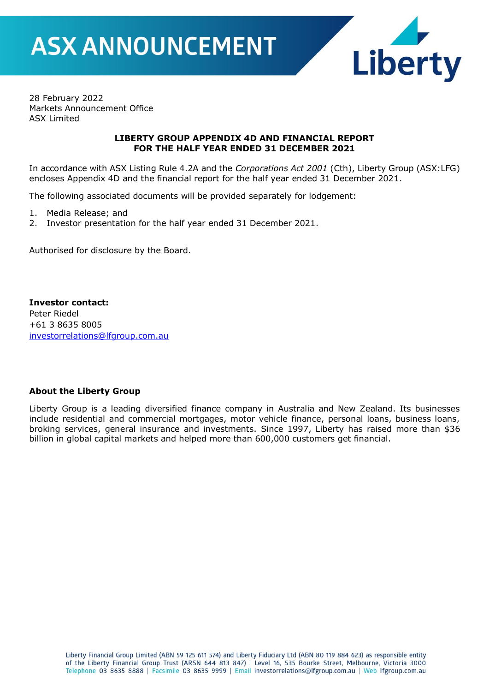

28 February 2022 Markets Announcement Office ASX Limited

#### **LIBERTY GROUP APPENDIX 4D AND FINANCIAL REPORT FOR THE HALF YEAR ENDED 31 DECEMBER 2021**

In accordance with ASX Listing Rule 4.2A and the *Corporations Act 2001* (Cth), Liberty Group (ASX:LFG) encloses Appendix 4D and the financial report for the half year ended 31 December 2021.

The following associated documents will be provided separately for lodgement:

- 1. Media Release; and
- 2. Investor presentation for the half year ended 31 December 2021.

Authorised for disclosure by the Board.

**Investor contact:** Peter Riedel +61 3 8635 8005 [investorrelations@lfgroup.com.au](mailto:investorrelations@lfgroup.com.au)

#### **About the Liberty Group**

Liberty Group is a leading diversified finance company in Australia and New Zealand. Its businesses include residential and commercial mortgages, motor vehicle finance, personal loans, business loans, broking services, general insurance and investments. Since 1997, Liberty has raised more than \$36 billion in global capital markets and helped more than 600,000 customers get financial.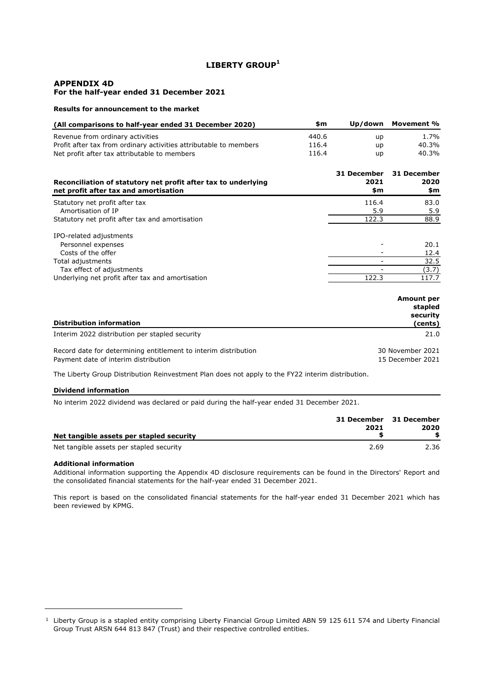#### **LIBERTY GROUP<sup>1</sup>**

#### **APPENDIX 4D For the half-year ended 31 December 2021**

#### **Results for announcement to the market**

| (All comparisons to half-year ended 31 December 2020)             | \$m   | Up/down                  | Movement %                               |
|-------------------------------------------------------------------|-------|--------------------------|------------------------------------------|
| Revenue from ordinary activities                                  | 440.6 | up                       | 1.7%                                     |
| Profit after tax from ordinary activities attributable to members | 116.4 | up                       | 40.3%                                    |
| Net profit after tax attributable to members                      | 116.4 | <b>up</b>                | 40.3%                                    |
| Reconciliation of statutory net profit after tax to underlying    |       | 31 December<br>2021      | 31 December<br>2020                      |
| net profit after tax and amortisation                             |       | \$m                      | \$m                                      |
| Statutory net profit after tax                                    |       | 116.4                    | 83.0                                     |
| Amortisation of IP                                                |       | 5.9                      | 5.9                                      |
| Statutory net profit after tax and amortisation                   |       | 122.3                    | 88.9                                     |
| IPO-related adjustments                                           |       |                          |                                          |
| Personnel expenses                                                |       |                          | 20.1                                     |
| Costs of the offer                                                |       |                          | 12.4                                     |
| Total adjustments                                                 |       | $\overline{\phantom{0}}$ | 32.5                                     |
| Tax effect of adjustments                                         |       |                          | (3.7)                                    |
| Underlying net profit after tax and amortisation                  |       | 122.3                    | 117.7                                    |
|                                                                   |       |                          | <b>Amount per</b><br>stapled<br>security |
| <b>Distribution information</b>                                   |       |                          | (cents)                                  |

Interim 2022 distribution per stapled security 21.0 Record date for determining entitlement to interim distribution Payment date of interim distribution 30 November 2021 15 December 2021

The Liberty Group Distribution Reinvestment Plan does not apply to the FY22 interim distribution.

#### **Dividend information**

No interim 2022 dividend was declared or paid during the half-year ended 31 December 2021.

| Net tangible assets per stapled security | 31 December 31 December<br>2021 | 2020 |
|------------------------------------------|---------------------------------|------|
| Net tangible assets per stapled security | 2.69                            | 2.36 |

#### **Additional information**

Additional information supporting the Appendix 4D disclosure requirements can be found in the Directors' Report and the consolidated financial statements for the half-year ended 31 December 2021.

This report is based on the consolidated financial statements for the half-year ended 31 December 2021 which has been reviewed by KPMG.

<sup>1</sup> Liberty Group is a stapled entity comprising Liberty Financial Group Limited ABN 59 125 611 574 and Liberty Financial Group Trust ARSN 644 813 847 (Trust) and their respective controlled entities.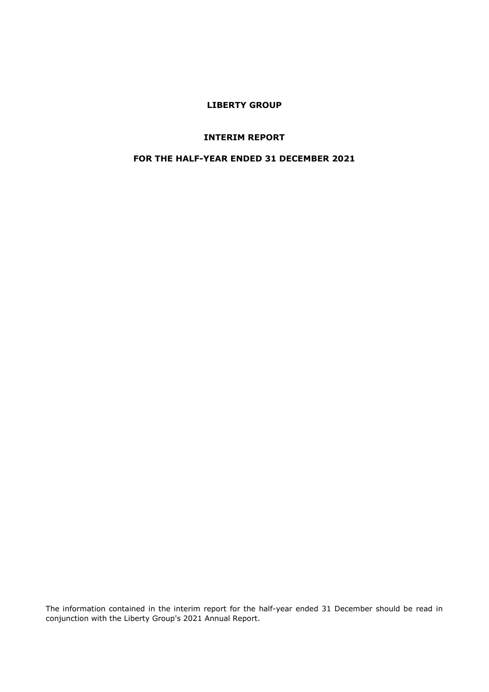#### **LIBERTY GROUP**

#### **INTERIM REPORT**

#### **FOR THE HALF-YEAR ENDED 31 DECEMBER 2021**

The information contained in the interim report for the half-year ended 31 December should be read in conjunction with the Liberty Group's 2021 Annual Report.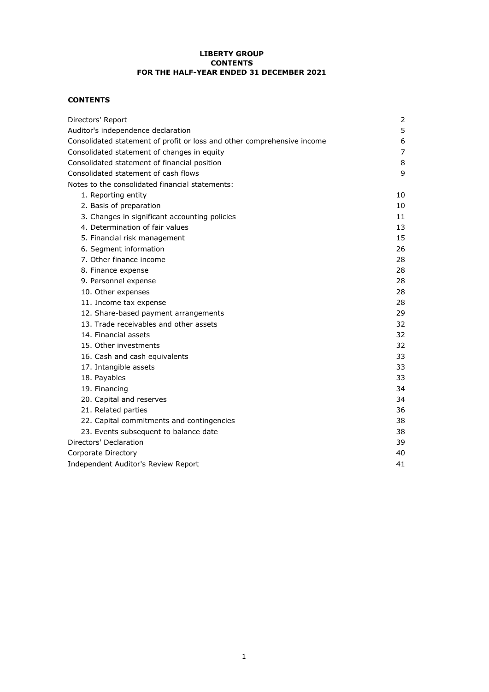#### **LIBERTY GROUP CONTENTS FOR THE HALF-YEAR ENDED 31 DECEMBER 2021**

#### **CONTENTS**

| Directors' Report                                                       | 2  |
|-------------------------------------------------------------------------|----|
| Auditor's independence declaration                                      | 5  |
| Consolidated statement of profit or loss and other comprehensive income | 6  |
| Consolidated statement of changes in equity                             | 7  |
| Consolidated statement of financial position                            | 8  |
| Consolidated statement of cash flows                                    | 9  |
| Notes to the consolidated financial statements:                         |    |
| 1. Reporting entity                                                     | 10 |
| 2. Basis of preparation                                                 | 10 |
| 3. Changes in significant accounting policies                           | 11 |
| 4. Determination of fair values                                         | 13 |
| 5. Financial risk management                                            | 15 |
| 6. Segment information                                                  | 26 |
| 7. Other finance income                                                 | 28 |
| 8. Finance expense                                                      | 28 |
| 9. Personnel expense                                                    | 28 |
| 10. Other expenses                                                      | 28 |
| 11. Income tax expense                                                  | 28 |
| 12. Share-based payment arrangements                                    | 29 |
| 13. Trade receivables and other assets                                  | 32 |
| 14. Financial assets                                                    | 32 |
| 15. Other investments                                                   | 32 |
| 16. Cash and cash equivalents                                           | 33 |
| 17. Intangible assets                                                   | 33 |
| 18. Payables                                                            | 33 |
| 19. Financing                                                           | 34 |
| 20. Capital and reserves                                                | 34 |
| 21. Related parties                                                     | 36 |
| 22. Capital commitments and contingencies                               | 38 |
| 23. Events subsequent to balance date                                   | 38 |
| Directors' Declaration                                                  | 39 |
| Corporate Directory                                                     | 40 |
| Independent Auditor's Review Report                                     | 41 |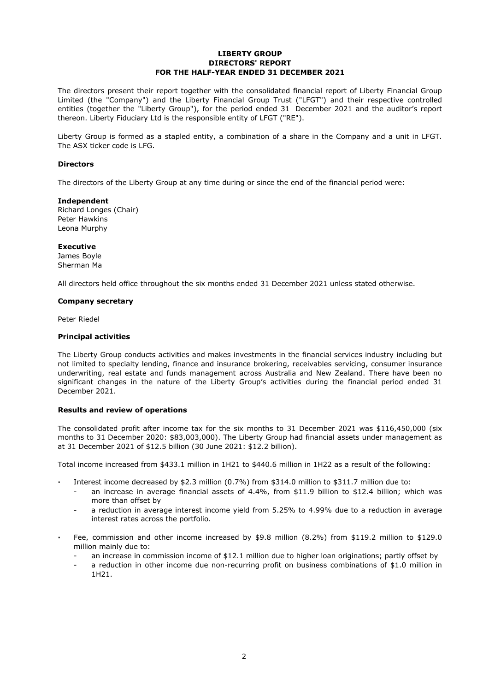#### **LIBERTY GROUP DIRECTORS' REPORT FOR THE HALF-YEAR ENDED 31 DECEMBER 2021**

The directors present their report together with the consolidated financial report of Liberty Financial Group Limited (the "Company") and the Liberty Financial Group Trust ("LFGT") and their respective controlled entities (together the "Liberty Group"), for the period ended 31 December 2021 and the auditor's report thereon. Liberty Fiduciary Ltd is the responsible entity of LFGT ("RE").

Liberty Group is formed as a stapled entity, a combination of a share in the Company and a unit in LFGT. The ASX ticker code is LFG.

#### **Directors**

The directors of the Liberty Group at any time during or since the end of the financial period were:

#### **Independent**

Richard Longes (Chair) Peter Hawkins Leona Murphy

#### **Executive**

James Boyle Sherman Ma

All directors held office throughout the six months ended 31 December 2021 unless stated otherwise.

#### **Company secretary**

Peter Riedel

#### **Principal activities**

The Liberty Group conducts activities and makes investments in the financial services industry including but not limited to specialty lending, finance and insurance brokering, receivables servicing, consumer insurance underwriting, real estate and funds management across Australia and New Zealand. There have been no significant changes in the nature of the Liberty Group's activities during the financial period ended 31 December 2021.

#### **Results and review of operations**

The consolidated profit after income tax for the six months to 31 December 2021 was \$116,450,000 (six months to 31 December 2020: \$83,003,000). The Liberty Group had financial assets under management as at 31 December 2021 of \$12.5 billion (30 June 2021: \$12.2 billion).

Total income increased from \$433.1 million in 1H21 to \$440.6 million in 1H22 as a result of the following:

- **·** Interest income decreased by \$2.3 million (0.7%) from \$314.0 million to \$311.7 million due to:
	- an increase in average financial assets of 4.4%, from \$11.9 billion to \$12.4 billion; which was more than offset by
	- a reduction in average interest income yield from 5.25% to 4.99% due to a reduction in average interest rates across the portfolio.
- **·** Fee, commission and other income increased by \$9.8 million (8.2%) from \$119.2 million to \$129.0 million mainly due to:
	- an increase in commission income of \$12.1 million due to higher loan originations; partly offset by
	- a reduction in other income due non-recurring profit on business combinations of \$1.0 million in 1H21.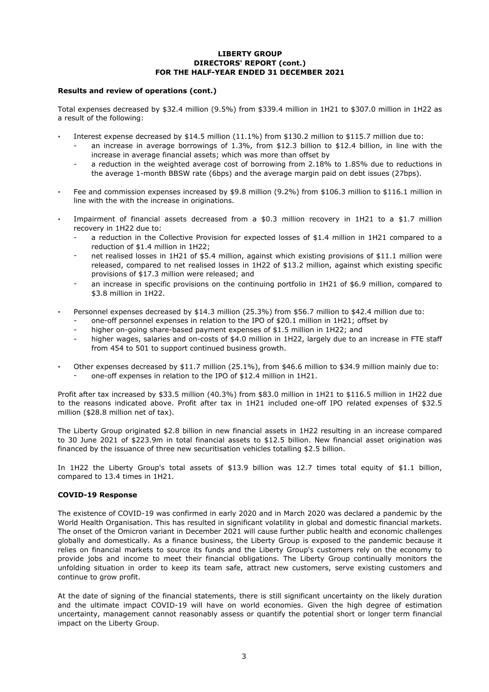#### **LIBERTY GROUP DIRECTORS' REPORT (cont.) FOR THE HALF-YEAR ENDED 31 DECEMBER 2021**

#### **Results and review of operations (cont.)**

Total expenses decreased by \$32.4 million (9.5%) from \$339.4 million in 1H21 to \$307.0 million in 1H22 as a result of the following:

- **·** Interest expense decreased by \$14.5 million (11.1%) from \$130.2 million to \$115.7 million due to:
	- an increase in average borrowings of 1.3%, from \$12.3 billion to \$12.4 billion, in line with the increase in average financial assets; which was more than offset by
	- a reduction in the weighted average cost of borrowing from 2.18% to 1.85% due to reductions in the average 1-month BBSW rate (6bps) and the average margin paid on debt issues (27bps).
- **·** Fee and commission expenses increased by \$9.8 million (9.2%) from \$106.3 million to \$116.1 million in line with the with the increase in originations.
- **·** Impairment of financial assets decreased from a \$0.3 million recovery in 1H21 to a \$1.7 million recovery in 1H22 due to:
	- a reduction in the Collective Provision for expected losses of \$1.4 million in 1H21 compared to a reduction of \$1.4 million in 1H22;
	- net realised losses in 1H21 of \$5.4 million, against which existing provisions of \$11.1 million were released, compared to net realised losses in 1H22 of \$13.2 million, against which existing specific provisions of \$17.3 million were released; and
	- an increase in specific provisions on the continuing portfolio in 1H21 of \$6.9 million, compared to \$3.8 million in 1H22.
- **·** Personnel expenses decreased by \$14.3 million (25.3%) from \$56.7 million to \$42.4 million due to:
	- one-off personnel expenses in relation to the IPO of \$20.1 million in 1H21; offset by
	- higher on-going share-based payment expenses of \$1.5 million in 1H22; and
	- higher wages, salaries and on-costs of \$4.0 million in 1H22, largely due to an increase in FTE staff from 454 to 501 to support continued business growth.
- **·** - one-off expenses in relation to the IPO of \$12.4 million in 1H21. Other expenses decreased by \$11.7 million (25.1%), from \$46.6 million to \$34.9 million mainly due to:

Profit after tax increased by \$33.5 million (40.3%) from \$83.0 million in 1H21 to \$116.5 million in 1H22 due to the reasons indicated above. Profit after tax in 1H21 included one-off IPO related expenses of \$32.5 million (\$28.8 million net of tax).

The Liberty Group originated \$2.8 billion in new financial assets in 1H22 resulting in an increase compared to 30 June 2021 of \$223.9m in total financial assets to \$12.5 billion. New financial asset origination was financed by the issuance of three new securitisation vehicles totalling \$2.5 billion.

In 1H22 the Liberty Group's total assets of \$13.9 billion was 12.7 times total equity of \$1.1 billion, compared to 13.4 times in 1H21.

#### **COVID-19 Response**

-

The existence of COVID-19 was confirmed in early 2020 and in March 2020 was declared a pandemic by the World Health Organisation. This has resulted in significant volatility in global and domestic financial markets. The onset of the Omicron variant in December 2021 will cause further public health and economic challenges globally and domestically. As a finance business, the Liberty Group is exposed to the pandemic because it relies on financial markets to source its funds and the Liberty Group's customers rely on the economy to provide jobs and income to meet their financial obligations. The Liberty Group continually monitors the unfolding situation in order to keep its team safe, attract new customers, serve existing customers and continue to grow profit.

At the date of signing of the financial statements, there is still significant uncertainty on the likely duration and the ultimate impact COVID-19 will have on world economies. Given the high degree of estimation uncertainty, management cannot reasonably assess or quantify the potential short or longer term financial impact on the Liberty Group.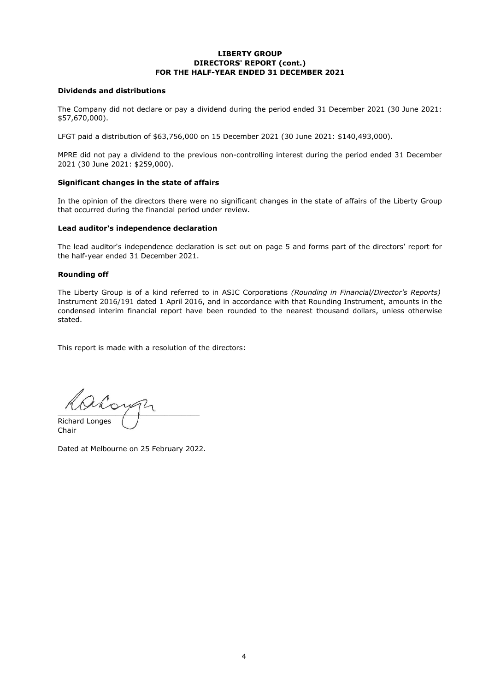#### **LIBERTY GROUP DIRECTORS' REPORT (cont.) FOR THE HALF-YEAR ENDED 31 DECEMBER 2021**

#### **Dividends and distributions**

The Company did not declare or pay a dividend during the period ended 31 December 2021 (30 June 2021: \$57,670,000).

LFGT paid a distribution of \$63,756,000 on 15 December 2021 (30 June 2021: \$140,493,000).

MPRE did not pay a dividend to the previous non-controlling interest during the period ended 31 December 2021 (30 June 2021: \$259,000).

#### **Significant changes in the state of affairs**

In the opinion of the directors there were no significant changes in the state of affairs of the Liberty Group that occurred during the financial period under review.

#### **Lead auditor's independence declaration**

The lead auditor's independence declaration is set out on page 5 and forms part of the directors' report for the half-year ended 31 December 2021.

#### **Rounding off**

The Liberty Group is of a kind referred to in ASIC Corporations *(Rounding in Financial/Director's Reports)* Instrument 2016/191 dated 1 April 2016, and in accordance with that Rounding Instrument, amounts in the condensed interim financial report have been rounded to the nearest thousand dollars, unless otherwise stated.

This report is made with a resolution of the directors:

 $\frac{1}{2}$ Richard Longes

Chair

Dated at Melbourne on 25 February 2022.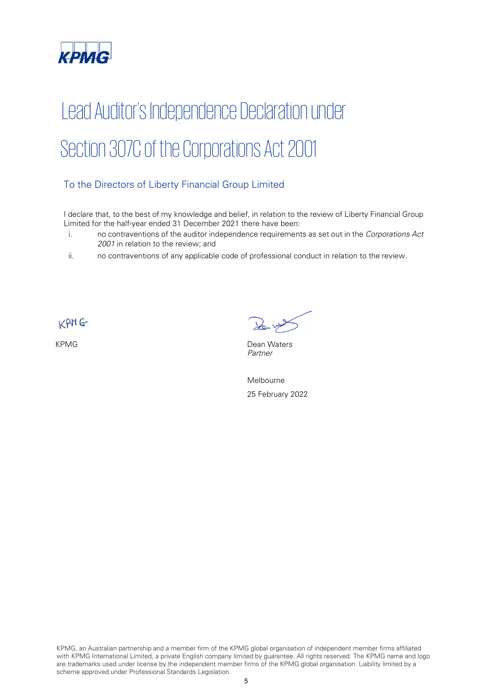

# Lead Auditor's Independence Declaration under Section 307C of the Corporations Act 2001

### To the Directors of Liberty Financial Group Limited

I declare that, to the best of my knowledge and belief, in relation to the review of Liberty Financial Group Limited for the half-year ended 31 December 2021 there have been:

- i. no contraventions of the auditor independence requirements as set out in the Corporations Act 2001 in relation to the review; and
- ii. no contraventions of any applicable code of professional conduct in relation to the review.

 $KPMG$ 

KPMG Dean Waters Partner

Melbourne 25 February 2022

KPMG, an Australian partnership and a member firm of the KPMG global organisation of independent member firms affiliated with KPMG International Limited, a private English company limited by guarantee. All rights reserved. The KPMG name and logo are trademarks used under license by the independent member firms of the KPMG global organisation. Liability limited by a scheme approved under Professional Standards Legislation.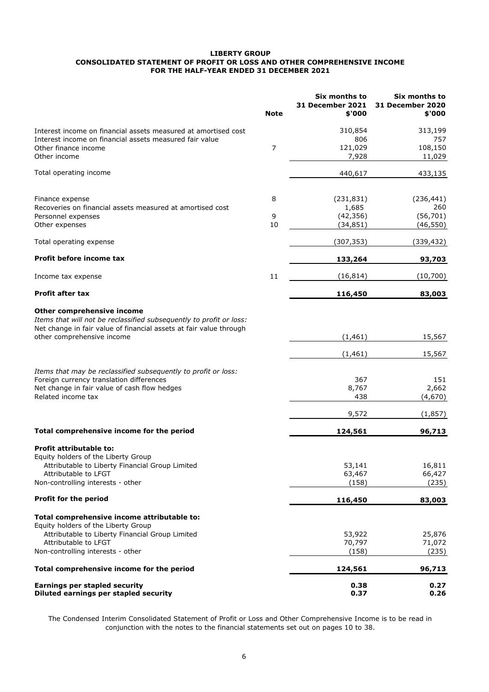#### **LIBERTY GROUP FOR THE HALF-YEAR ENDED 31 DECEMBER 2021 CONSOLIDATED STATEMENT OF PROFIT OR LOSS AND OTHER COMPREHENSIVE INCOME**

|                                                                                                                                                                                                       | <b>Note</b>    | Six months to<br><b>31 December 2021</b><br>\$'000 | Six months to<br><b>31 December 2020</b><br>\$'000 |
|-------------------------------------------------------------------------------------------------------------------------------------------------------------------------------------------------------|----------------|----------------------------------------------------|----------------------------------------------------|
| Interest income on financial assets measured at amortised cost                                                                                                                                        |                | 310,854                                            | 313,199                                            |
| Interest income on financial assets measured fair value                                                                                                                                               |                | 806                                                | 757                                                |
| Other finance income                                                                                                                                                                                  | $\overline{7}$ | 121,029                                            | 108,150                                            |
| Other income                                                                                                                                                                                          |                | 7,928                                              | 11,029                                             |
| Total operating income                                                                                                                                                                                |                | 440,617                                            | 433,135                                            |
| Finance expense                                                                                                                                                                                       | 8              | (231, 831)                                         | (236, 441)                                         |
| Recoveries on financial assets measured at amortised cost                                                                                                                                             |                | 1,685                                              | 260                                                |
| Personnel expenses                                                                                                                                                                                    | 9              | (42, 356)                                          | (56, 701)                                          |
| Other expenses                                                                                                                                                                                        | 10             | (34, 851)                                          | (46, 550)                                          |
| Total operating expense                                                                                                                                                                               |                | (307, 353)                                         | (339,432)                                          |
| Profit before income tax                                                                                                                                                                              |                | 133,264                                            | 93,703                                             |
| Income tax expense                                                                                                                                                                                    | 11             | (16, 814)                                          | (10,700)                                           |
| <b>Profit after tax</b>                                                                                                                                                                               |                | 116,450                                            | 83,003                                             |
| Other comprehensive income<br>Items that will not be reclassified subsequently to profit or loss:<br>Net change in fair value of financial assets at fair value through<br>other comprehensive income |                | (1, 461)                                           | 15,567                                             |
|                                                                                                                                                                                                       |                | (1, 461)                                           | 15,567                                             |
| Items that may be reclassified subsequently to profit or loss:<br>Foreign currency translation differences<br>Net change in fair value of cash flow hedges<br>Related income tax                      |                | 367<br>8,767<br>438                                | 151<br>2,662<br>(4,670)                            |
|                                                                                                                                                                                                       |                | 9,572                                              | (1,857)                                            |
| Total comprehensive income for the period                                                                                                                                                             |                | 124,561                                            | 96,713                                             |
| Profit attributable to:<br>Equity holders of the Liberty Group                                                                                                                                        |                |                                                    |                                                    |
| Attributable to Liberty Financial Group Limited                                                                                                                                                       |                | 53,141                                             | 16,811                                             |
| Attributable to LFGT                                                                                                                                                                                  |                | 63,467                                             | 66,427                                             |
| Non-controlling interests - other                                                                                                                                                                     |                | (158)                                              | (235)                                              |
| <b>Profit for the period</b>                                                                                                                                                                          |                | 116,450                                            | 83,003                                             |
| Total comprehensive income attributable to:<br>Equity holders of the Liberty Group                                                                                                                    |                |                                                    |                                                    |
| Attributable to Liberty Financial Group Limited                                                                                                                                                       |                | 53,922                                             | 25,876                                             |
| Attributable to LFGT                                                                                                                                                                                  |                | 70,797                                             | 71,072                                             |
| Non-controlling interests - other                                                                                                                                                                     |                | (158)                                              | (235)                                              |
| Total comprehensive income for the period                                                                                                                                                             |                | 124,561                                            | 96,713                                             |
| <b>Earnings per stapled security</b>                                                                                                                                                                  |                | 0.38                                               | 0.27                                               |
| Diluted earnings per stapled security                                                                                                                                                                 |                | 0.37                                               | 0.26                                               |

The Condensed Interim Consolidated Statement of Profit or Loss and Other Comprehensive Income is to be read in conjunction with the notes to the financial statements set out on pages 10 to 38.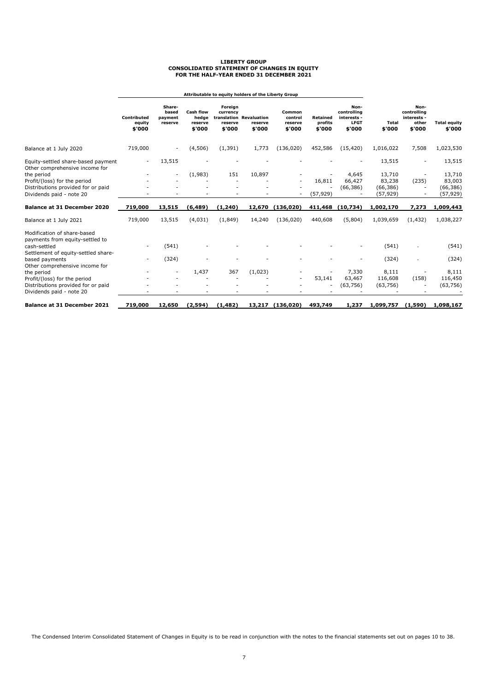## **LIBERTY GROUP CONSOLIDATED STATEMENT OF CHANGES IN EQUITY FOR THE HALF-YEAR ENDED 31 DECEMBER 2021**

|                                                                      |                                 |                                       |                                                |                                          | Attributable to equity holders of the Liberty Group |                                        |                                      |                                                             |                 |                                                       |                               |
|----------------------------------------------------------------------|---------------------------------|---------------------------------------|------------------------------------------------|------------------------------------------|-----------------------------------------------------|----------------------------------------|--------------------------------------|-------------------------------------------------------------|-----------------|-------------------------------------------------------|-------------------------------|
|                                                                      | Contributed<br>equity<br>\$'000 | Share-<br>based<br>payment<br>reserve | <b>Cash flow</b><br>hedae<br>reserve<br>\$'000 | Foreign<br>currency<br>reserve<br>\$'000 | translation Revaluation<br>reserve<br>\$'000        | Common<br>control<br>reserve<br>\$'000 | <b>Retained</b><br>profits<br>\$'000 | Non-<br>controlling<br>interests -<br><b>LFGT</b><br>\$'000 | Total<br>\$'000 | Non-<br>controlling<br>interests -<br>other<br>\$'000 | <b>Total equity</b><br>\$'000 |
| Balance at 1 July 2020                                               | 719,000                         |                                       | (4,506)                                        | (1, 391)                                 | 1,773                                               | (136,020)                              | 452,586                              | (15, 420)                                                   | 1,016,022       | 7,508                                                 | 1,023,530                     |
| Equity-settled share-based payment<br>Other comprehensive income for | $\overline{\phantom{a}}$        | 13,515                                |                                                |                                          |                                                     |                                        |                                      |                                                             | 13,515          | ٠                                                     | 13,515                        |
| the period                                                           |                                 |                                       | (1,983)                                        | 151                                      | 10,897                                              |                                        |                                      | 4,645                                                       | 13,710          |                                                       | 13,710                        |
| Profit/(loss) for the period                                         |                                 |                                       |                                                |                                          |                                                     |                                        | 16,811                               | 66,427                                                      | 83,238          | (235)                                                 | 83,003                        |
| Distributions provided for or paid                                   |                                 |                                       |                                                |                                          |                                                     |                                        |                                      | (66, 386)                                                   | (66, 386)       |                                                       | (66, 386)                     |
| Dividends paid - note 20                                             |                                 |                                       |                                                |                                          |                                                     |                                        | (57, 929)                            |                                                             | (57, 929)       | ٠                                                     | (57, 929)                     |
| <b>Balance at 31 December 2020</b>                                   | 719,000                         | 13,515                                | (6, 489)                                       | (1, 240)                                 | 12,670                                              | (136.020)                              |                                      | 411,468 (10,734)                                            | 1,002,170       | 7.273                                                 | 1,009,443                     |
| Balance at 1 July 2021                                               | 719,000                         | 13,515                                | (4,031)                                        | (1,849)                                  | 14,240                                              | (136, 020)                             | 440,608                              | (5,804)                                                     | 1,039,659       | (1, 432)                                              | 1,038,227                     |
| Modification of share-based<br>payments from equity-settled to       |                                 |                                       |                                                |                                          |                                                     |                                        |                                      |                                                             |                 |                                                       |                               |
| cash-settled<br>Settlement of equity-settled share-                  |                                 | (541)                                 |                                                |                                          |                                                     |                                        |                                      |                                                             | (541)           |                                                       | (541)                         |
| based payments<br>Other comprehensive income for                     |                                 | (324)                                 |                                                |                                          |                                                     |                                        |                                      |                                                             | (324)           |                                                       | (324)                         |
| the period                                                           |                                 |                                       | 1,437                                          | 367                                      | (1,023)                                             |                                        |                                      | 7,330                                                       | 8,111           |                                                       | 8,111                         |
| Profit/(loss) for the period                                         |                                 |                                       |                                                |                                          |                                                     |                                        | 53,141                               | 63,467                                                      | 116,608         | (158)                                                 | 116,450                       |
| Distributions provided for or paid                                   |                                 |                                       |                                                |                                          |                                                     |                                        |                                      | (63, 756)                                                   | (63, 756)       |                                                       | (63, 756)                     |
| Dividends paid - note 20                                             |                                 |                                       |                                                |                                          |                                                     |                                        |                                      |                                                             |                 |                                                       |                               |
| <b>Balance at 31 December 2021</b>                                   | 719,000                         | 12,650                                | (2,594)                                        | (1, 482)                                 | 13,217                                              | (136, 020)                             | 493,749                              | 1,237                                                       | 1,099,757       | (1,590)                                               | 1,098,167                     |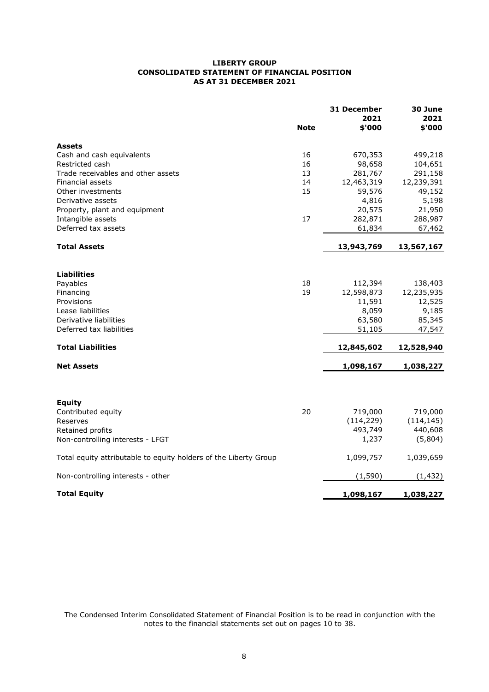#### **LIBERTY GROUP CONSOLIDATED STATEMENT OF FINANCIAL POSITION AS AT 31 DECEMBER 2021**

|                                                                  | <b>Note</b> | 31 December<br>2021<br>\$'000 | 30 June<br>2021<br>\$'000 |
|------------------------------------------------------------------|-------------|-------------------------------|---------------------------|
| <b>Assets</b>                                                    |             |                               |                           |
| Cash and cash equivalents                                        | 16          | 670,353                       | 499,218                   |
| Restricted cash                                                  | 16          | 98,658                        | 104,651                   |
| Trade receivables and other assets                               | 13          | 281,767                       | 291,158                   |
| Financial assets                                                 | 14          | 12,463,319                    | 12,239,391                |
| Other investments                                                | 15          | 59,576                        | 49,152                    |
| Derivative assets                                                |             | 4,816                         | 5,198                     |
| Property, plant and equipment                                    |             | 20,575                        | 21,950                    |
| Intangible assets                                                | 17          | 282,871                       | 288,987                   |
| Deferred tax assets                                              |             | 61,834                        | 67,462                    |
| <b>Total Assets</b>                                              |             | 13,943,769                    | 13,567,167                |
|                                                                  |             |                               |                           |
| <b>Liabilities</b>                                               |             |                               |                           |
| Payables                                                         | 18          | 112,394                       | 138,403                   |
| Financing                                                        | 19          | 12,598,873                    | 12,235,935                |
| Provisions                                                       |             | 11,591                        | 12,525                    |
| Lease liabilities                                                |             | 8,059                         | 9,185                     |
| Derivative liabilities                                           |             | 63,580                        | 85,345                    |
| Deferred tax liabilities                                         |             | 51,105                        | 47,547                    |
| <b>Total Liabilities</b>                                         |             | 12,845,602                    | 12,528,940                |
| <b>Net Assets</b>                                                |             | 1,098,167                     | 1,038,227                 |
|                                                                  |             |                               |                           |
| <b>Equity</b>                                                    |             |                               |                           |
| Contributed equity                                               | 20          | 719,000                       | 719,000                   |
| Reserves                                                         |             | (114, 229)                    | (114, 145)                |
| Retained profits                                                 |             | 493,749                       | 440,608                   |
| Non-controlling interests - LFGT                                 |             | 1,237                         | (5,804)                   |
| Total equity attributable to equity holders of the Liberty Group |             | 1,099,757                     | 1,039,659                 |
| Non-controlling interests - other                                |             | (1, 590)                      | (1, 432)                  |
| <b>Total Equity</b>                                              |             | 1,098,167                     | 1,038,227                 |

The Condensed Interim Consolidated Statement of Financial Position is to be read in conjunction with the notes to the financial statements set out on pages 10 to 38.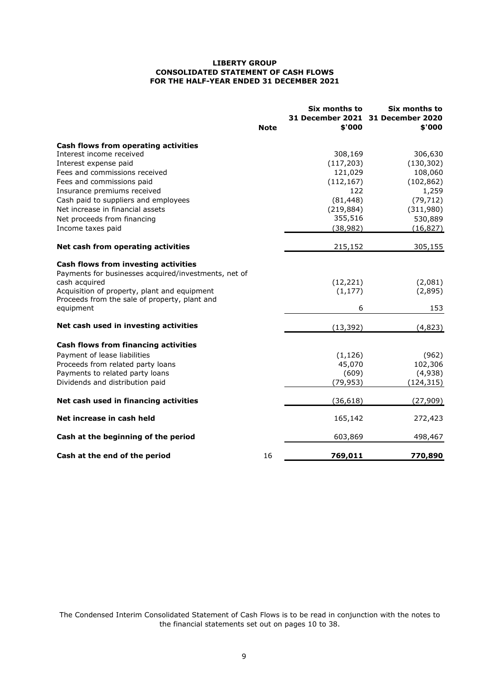#### **FOR THE HALF-YEAR ENDED 31 DECEMBER 2021 CONSOLIDATED STATEMENT OF CASH FLOWS LIBERTY GROUP**

|                                                                  | <b>Note</b> | Six months to<br>\$'000 | Six months to<br>31 December 2021 31 December 2020<br>\$'000 |
|------------------------------------------------------------------|-------------|-------------------------|--------------------------------------------------------------|
|                                                                  |             |                         |                                                              |
| Cash flows from operating activities<br>Interest income received |             | 308,169                 | 306,630                                                      |
| Interest expense paid                                            |             | (117, 203)              | (130, 302)                                                   |
| Fees and commissions received                                    |             | 121,029                 | 108,060                                                      |
| Fees and commissions paid                                        |             | (112, 167)              | (102, 862)                                                   |
| Insurance premiums received                                      |             | 122                     | 1,259                                                        |
| Cash paid to suppliers and employees                             |             | (81, 448)               | (79, 712)                                                    |
| Net increase in financial assets                                 |             | (219, 884)              | (311,980)                                                    |
| Net proceeds from financing                                      |             | 355,516                 | 530,889                                                      |
| Income taxes paid                                                |             | (38, 982)               | (16, 827)                                                    |
| Net cash from operating activities                               |             | 215,152                 | 305,155                                                      |
| Cash flows from investing activities                             |             |                         |                                                              |
| Payments for businesses acquired/investments, net of             |             |                         |                                                              |
| cash acquired                                                    |             | (12, 221)               | (2,081)                                                      |
| Acquisition of property, plant and equipment                     |             | (1, 177)                | (2,895)                                                      |
| Proceeds from the sale of property, plant and<br>equipment       |             | 6                       | 153                                                          |
| Net cash used in investing activities                            |             | (13, 392)               | (4,823)                                                      |
|                                                                  |             |                         |                                                              |
| <b>Cash flows from financing activities</b>                      |             |                         |                                                              |
| Payment of lease liabilities                                     |             | (1, 126)                | (962)                                                        |
| Proceeds from related party loans                                |             | 45,070                  | 102,306                                                      |
| Payments to related party loans                                  |             | (609)                   | (4,938)                                                      |
| Dividends and distribution paid                                  |             | (79, 953)               | (124, 315)                                                   |
| Net cash used in financing activities                            |             | (36, 618)               | (27, 909)                                                    |
| Net increase in cash held                                        |             | 165,142                 | 272,423                                                      |
| Cash at the beginning of the period                              |             | 603,869                 | 498,467                                                      |
| Cash at the end of the period                                    | 16          | 769,011                 | 770,890                                                      |

The Condensed Interim Consolidated Statement of Cash Flows is to be read in conjunction with the notes to the financial statements set out on pages 10 to 38.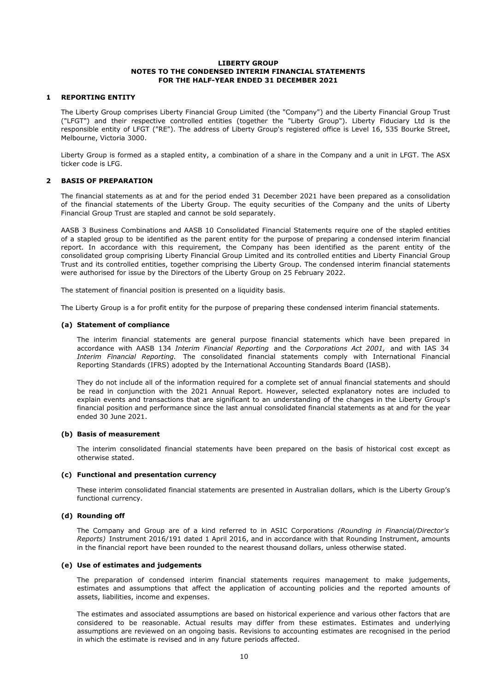#### **1 REPORTING ENTITY**

The Liberty Group comprises Liberty Financial Group Limited (the "Company") and the Liberty Financial Group Trust ("LFGT") and their respective controlled entities (together the "Liberty Group"). Liberty Fiduciary Ltd is the responsible entity of LFGT ("RE"). The address of Liberty Group's registered office is Level 16, 535 Bourke Street, Melbourne, Victoria 3000.

Liberty Group is formed as a stapled entity, a combination of a share in the Company and a unit in LFGT. The ASX ticker code is LFG.

#### **2 BASIS OF PREPARATION**

The financial statements as at and for the period ended 31 December 2021 have been prepared as a consolidation of the financial statements of the Liberty Group. The equity securities of the Company and the units of Liberty Financial Group Trust are stapled and cannot be sold separately.

AASB 3 Business Combinations and AASB 10 Consolidated Financial Statements require one of the stapled entities of a stapled group to be identified as the parent entity for the purpose of preparing a condensed interim financial report. In accordance with this requirement, the Company has been identified as the parent entity of the consolidated group comprising Liberty Financial Group Limited and its controlled entities and Liberty Financial Group Trust and its controlled entities, together comprising the Liberty Group. The condensed interim financial statements were authorised for issue by the Directors of the Liberty Group on 25 February 2022.

The statement of financial position is presented on a liquidity basis.

The Liberty Group is a for profit entity for the purpose of preparing these condensed interim financial statements.

#### **(a) Statement of compliance**

The interim financial statements are general purpose financial statements which have been prepared in accordance with AASB 134 *Interim Financial Reporting* and the *Corporations Act 2001,* and with IAS 34 *Interim Financial Reporting.* The consolidated financial statements comply with International Financial Reporting Standards (IFRS) adopted by the International Accounting Standards Board (IASB).

They do not include all of the information required for a complete set of annual financial statements and should be read in conjunction with the 2021 Annual Report. However, selected explanatory notes are included to explain events and transactions that are significant to an understanding of the changes in the Liberty Group's financial position and performance since the last annual consolidated financial statements as at and for the year ended 30 June 2021.

#### **(b) Basis of measurement**

The interim consolidated financial statements have been prepared on the basis of historical cost except as otherwise stated.

#### **(c) Functional and presentation currency**

These interim consolidated financial statements are presented in Australian dollars, which is the Liberty Group's functional currency.

#### **(d) Rounding off**

The Company and Group are of a kind referred to in ASIC Corporations *(Rounding in Financial/Director's Reports)* Instrument 2016/191 dated 1 April 2016, and in accordance with that Rounding Instrument, amounts in the financial report have been rounded to the nearest thousand dollars, unless otherwise stated.

#### **(e) Use of estimates and judgements**

The preparation of condensed interim financial statements requires management to make judgements, estimates and assumptions that affect the application of accounting policies and the reported amounts of assets, liabilities, income and expenses.

The estimates and associated assumptions are based on historical experience and various other factors that are considered to be reasonable. Actual results may differ from these estimates. Estimates and underlying assumptions are reviewed on an ongoing basis. Revisions to accounting estimates are recognised in the period in which the estimate is revised and in any future periods affected.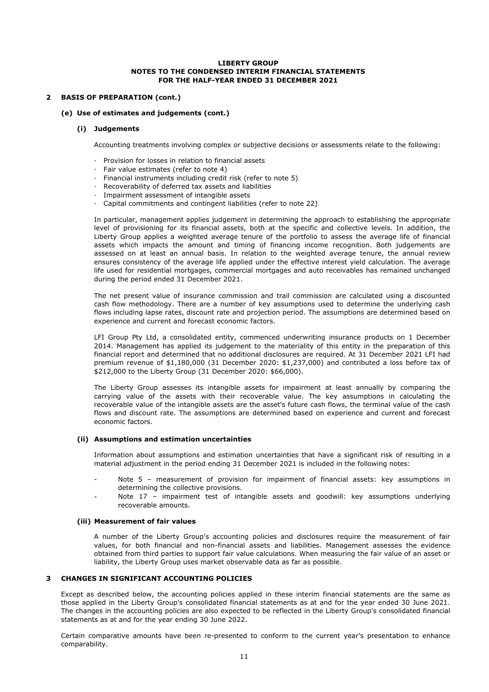#### **2 BASIS OF PREPARATION (cont.)**

#### **(e) Use of estimates and judgements (cont.)**

#### **(i) Judgements**

Accounting treatments involving complex or subjective decisions or assessments relate to the following:

- Provision for losses in relation to financial assets
- · Fair value estimates (refer to note 4)
- · Financial instruments including credit risk (refer to note 5)
- · Recoverability of deferred tax assets and liabilities
- · Impairment assessment of intangible assets
- · Capital commitments and contingent liabilities (refer to note 22)

In particular, management applies judgement in determining the approach to establishing the appropriate level of provisioning for its financial assets, both at the specific and collective levels. In addition, the Liberty Group applies a weighted average tenure of the portfolio to assess the average life of financial assets which impacts the amount and timing of financing income recognition. Both judgements are assessed on at least an annual basis. In relation to the weighted average tenure, the annual review ensures consistency of the average life applied under the effective interest yield calculation. The average life used for residential mortgages, commercial mortgages and auto receivables has remained unchanged during the period ended 31 December 2021.

The net present value of insurance commission and trail commission are calculated using a discounted cash flow methodology. There are a number of key assumptions used to determine the underlying cash flows including lapse rates, discount rate and projection period. The assumptions are determined based on experience and current and forecast economic factors.

LFI Group Pty Ltd, a consolidated entity, commenced underwriting insurance products on 1 December 2014. Management has applied its judgement to the materiality of this entity in the preparation of this financial report and determined that no additional disclosures are required. At 31 December 2021 LFI had premium revenue of \$1,180,000 (31 December 2020: \$1,237,000) and contributed a loss before tax of \$212,000 to the Liberty Group (31 December 2020: \$66,000).

The Liberty Group assesses its intangible assets for impairment at least annually by comparing the carrying value of the assets with their recoverable value. The key assumptions in calculating the recoverable value of the intangible assets are the asset's future cash flows, the terminal value of the cash flows and discount rate. The assumptions are determined based on experience and current and forecast economic factors.

#### **(ii) Assumptions and estimation uncertainties**

Information about assumptions and estimation uncertainties that have a significant risk of resulting in a material adjustment in the period ending 31 December 2021 is included in the following notes:

- Note 5 – measurement of provision for impairment of financial assets: key assumptions in determining the collective provisions.
- Note 17 – impairment test of intangible assets and goodwill: key assumptions underlying recoverable amounts.

#### **(iii) Measurement of fair values**

A number of the Liberty Group's accounting policies and disclosures require the measurement of fair values, for both financial and non-financial assets and liabilities. Management assesses the evidence obtained from third parties to support fair value calculations. When measuring the fair value of an asset or liability, the Liberty Group uses market observable data as far as possible.

#### **3 CHANGES IN SIGNIFICANT ACCOUNTING POLICIES**

Except as described below, the accounting policies applied in these interim financial statements are the same as those applied in the Liberty Group's consolidated financial statements as at and for the year ended 30 June 2021. The changes in the accounting policies are also expected to be reflected in the Liberty Group's consolidated financial statements as at and for the year ending 30 June 2022.

Certain comparative amounts have been re-presented to conform to the current year's presentation to enhance comparability.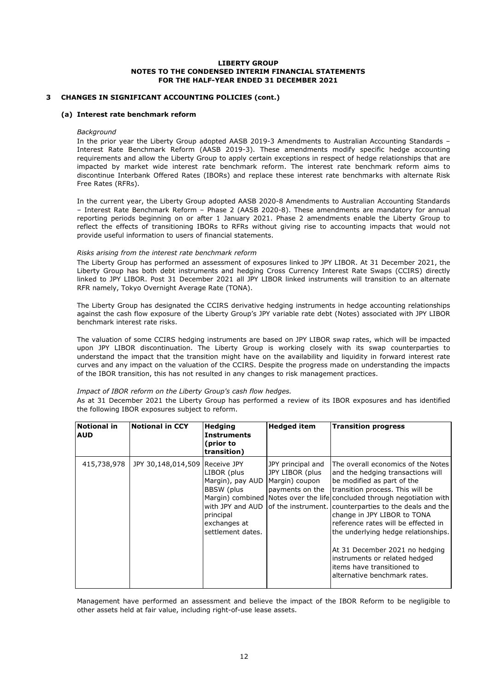#### **3 CHANGES IN SIGNIFICANT ACCOUNTING POLICIES (cont.)**

#### **(a) Interest rate benchmark reform**

#### *Background*

In the prior year the Liberty Group adopted AASB 2019-3 Amendments to Australian Accounting Standards – Interest Rate Benchmark Reform (AASB 2019-3). These amendments modify specific hedge accounting requirements and allow the Liberty Group to apply certain exceptions in respect of hedge relationships that are impacted by market wide interest rate benchmark reform. The interest rate benchmark reform aims to discontinue Interbank Offered Rates (IBORs) and replace these interest rate benchmarks with alternate Risk Free Rates (RFRs).

In the current year, the Liberty Group adopted AASB 2020-8 Amendments to Australian Accounting Standards – Interest Rate Benchmark Reform – Phase 2 (AASB 2020-8). These amendments are mandatory for annual reporting periods beginning on or after 1 January 2021. Phase 2 amendments enable the Liberty Group to reflect the effects of transitioning IBORs to RFRs without giving rise to accounting impacts that would not provide useful information to users of financial statements.

#### *Risks arising from the interest rate benchmark reform*

The Liberty Group has performed an assessment of exposures linked to JPY LIBOR. At 31 December 2021, the Liberty Group has both debt instruments and hedging Cross Currency Interest Rate Swaps (CCIRS) directly linked to JPY LIBOR. Post 31 December 2021 all JPY LIBOR linked instruments will transition to an alternate RFR namely, Tokyo Overnight Average Rate (TONA).

The Liberty Group has designated the CCIRS derivative hedging instruments in hedge accounting relationships against the cash flow exposure of the Liberty Group's JPY variable rate debt (Notes) associated with JPY LIBOR benchmark interest rate risks.

The valuation of some CCIRS hedging instruments are based on JPY LIBOR swap rates, which will be impacted upon JPY LIBOR discontinuation. The Liberty Group is working closely with its swap counterparties to understand the impact that the transition might have on the availability and liquidity in forward interest rate curves and any impact on the valuation of the CCIRS. Despite the progress made on understanding the impacts of the IBOR transition, this has not resulted in any changes to risk management practices.

#### *Impact of IBOR reform on the Liberty Group's cash flow hedges.*

As at 31 December 2021 the Liberty Group has performed a review of its IBOR exposures and has identified the following IBOR exposures subject to reform.

| <b>Notional in</b><br><b>AUD</b> | Notional in CCY    | <b>Hedging</b><br><b>Instruments</b><br>(prior to<br>transition)                                                              | <b>Hedged item</b>                                      | <b>Transition progress</b>                                                                                                                                                                                                                                                                                                                                                                                                                                                                                                                    |
|----------------------------------|--------------------|-------------------------------------------------------------------------------------------------------------------------------|---------------------------------------------------------|-----------------------------------------------------------------------------------------------------------------------------------------------------------------------------------------------------------------------------------------------------------------------------------------------------------------------------------------------------------------------------------------------------------------------------------------------------------------------------------------------------------------------------------------------|
| 415,738,978                      | JPY 30,148,014,509 | Receive JPY<br>LIBOR (plus<br>Margin), pay AUD Margin) coupon<br>BBSW (plus<br>principal<br>exchanges at<br>settlement dates. | JPY principal and<br>JPY LIBOR (plus<br>payments on the | The overall economics of the Notes<br>and the hedging transactions will<br>be modified as part of the<br>transition process. This will be<br>Margin) combined Notes over the life concluded through negotiation with<br>with JPY and AUD of the instrument. counterparties to the deals and the<br>change in JPY LIBOR to TONA<br>reference rates will be effected in<br>the underlying hedge relationships.<br>At 31 December 2021 no hedging<br>instruments or related hedged<br>items have transitioned to<br>alternative benchmark rates. |

Management have performed an assessment and believe the impact of the IBOR Reform to be negligible to other assets held at fair value, including right-of-use lease assets.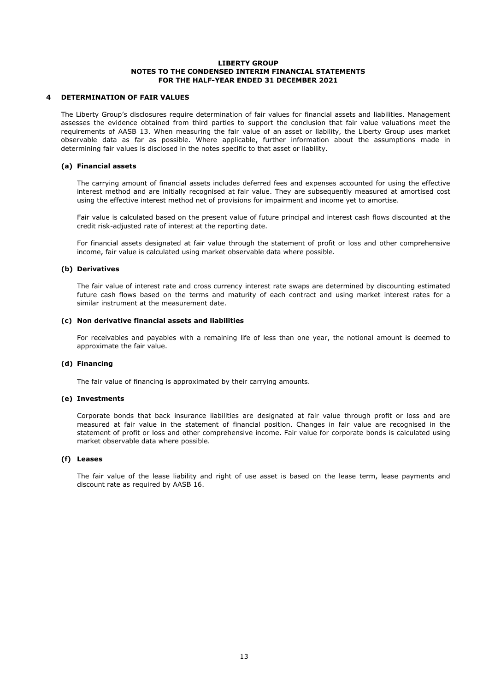#### **4 DETERMINATION OF FAIR VALUES**

The Liberty Group's disclosures require determination of fair values for financial assets and liabilities. Management assesses the evidence obtained from third parties to support the conclusion that fair value valuations meet the requirements of AASB 13. When measuring the fair value of an asset or liability, the Liberty Group uses market observable data as far as possible. Where applicable, further information about the assumptions made in determining fair values is disclosed in the notes specific to that asset or liability.

#### **(a) Financial assets**

The carrying amount of financial assets includes deferred fees and expenses accounted for using the effective interest method and are initially recognised at fair value. They are subsequently measured at amortised cost using the effective interest method net of provisions for impairment and income yet to amortise.

Fair value is calculated based on the present value of future principal and interest cash flows discounted at the credit risk-adjusted rate of interest at the reporting date.

For financial assets designated at fair value through the statement of profit or loss and other comprehensive income, fair value is calculated using market observable data where possible.

#### **(b) Derivatives**

The fair value of interest rate and cross currency interest rate swaps are determined by discounting estimated future cash flows based on the terms and maturity of each contract and using market interest rates for a similar instrument at the measurement date.

#### **(c) Non derivative financial assets and liabilities**

For receivables and payables with a remaining life of less than one year, the notional amount is deemed to approximate the fair value.

#### **(d) Financing**

The fair value of financing is approximated by their carrying amounts.

#### **(e) Investments**

Corporate bonds that back insurance liabilities are designated at fair value through profit or loss and are measured at fair value in the statement of financial position. Changes in fair value are recognised in the statement of profit or loss and other comprehensive income. Fair value for corporate bonds is calculated using market observable data where possible.

#### **(f) Leases**

The fair value of the lease liability and right of use asset is based on the lease term, lease payments and discount rate as required by AASB 16.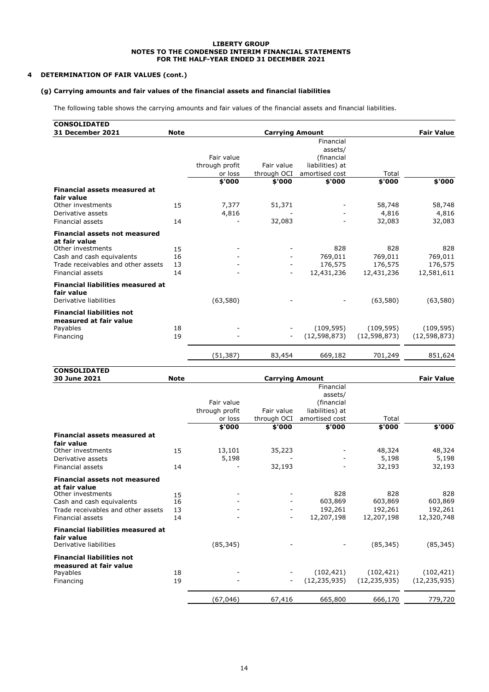#### **4 DETERMINATION OF FAIR VALUES (cont.)**

#### **(g) Carrying amounts and fair values of the financial assets and financial liabilities**

The following table shows the carrying amounts and fair values of the financial assets and financial liabilities.

| <b>CONSOLIDATED</b>                                        |             |                |                        |                 |                |                   |
|------------------------------------------------------------|-------------|----------------|------------------------|-----------------|----------------|-------------------|
| 31 December 2021                                           | <b>Note</b> |                | <b>Carrying Amount</b> |                 |                | <b>Fair Value</b> |
|                                                            |             |                |                        | Financial       |                |                   |
|                                                            |             |                |                        | assets/         |                |                   |
|                                                            |             | Fair value     |                        | (financial      |                |                   |
|                                                            |             | through profit | Fair value             | liabilities) at |                |                   |
|                                                            |             | or loss        | through OCI            | amortised cost  | Total          |                   |
|                                                            |             | \$'000         | \$'000                 | \$'000          | \$'000         | \$'000            |
| <b>Financial assets measured at</b>                        |             |                |                        |                 |                |                   |
| fair value                                                 |             |                |                        |                 |                |                   |
| Other investments                                          | 15          | 7,377          | 51,371                 |                 | 58,748         | 58,748            |
| Derivative assets                                          |             | 4,816          |                        |                 | 4,816          | 4,816             |
| <b>Financial assets</b>                                    | 14          |                | 32,083                 |                 | 32,083         | 32,083            |
| <b>Financial assets not measured</b>                       |             |                |                        |                 |                |                   |
| at fair value<br>Other investments                         | 15          |                |                        | 828             | 828            | 828               |
| Cash and cash equivalents                                  | 16          |                |                        | 769,011         | 769,011        | 769,011           |
| Trade receivables and other assets                         | 13          |                |                        | 176,575         | 176,575        | 176,575           |
| <b>Financial assets</b>                                    | 14          |                |                        | 12,431,236      | 12,431,236     | 12,581,611        |
|                                                            |             |                |                        |                 |                |                   |
| <b>Financial liabilities measured at</b><br>fair value     |             |                |                        |                 |                |                   |
| Derivative liabilities                                     |             | (63,580)       |                        |                 | (63,580)       | (63, 580)         |
| <b>Financial liabilities not</b><br>measured at fair value |             |                |                        |                 |                |                   |
| Payables                                                   | 18          |                |                        | (109, 595)      | (109, 595)     | (109, 595)        |
| Financing                                                  | 19          |                |                        | (12, 598, 873)  | (12, 598, 873) | (12, 598, 873)    |
|                                                            |             | (51, 387)      | 83,454                 | 669,182         | 701,249        | 851,624           |
|                                                            |             |                |                        |                 |                |                   |

| <b>CONSOLIDATED</b>                                                                                                              |                      |                                         |                           |                                                                         |                                         |                                         |
|----------------------------------------------------------------------------------------------------------------------------------|----------------------|-----------------------------------------|---------------------------|-------------------------------------------------------------------------|-----------------------------------------|-----------------------------------------|
| 30 June 2021                                                                                                                     | <b>Note</b>          |                                         | <b>Carrying Amount</b>    |                                                                         |                                         | <b>Fair Value</b>                       |
|                                                                                                                                  |                      | Fair value<br>through profit<br>or loss | Fair value<br>through OCI | Financial<br>assets/<br>(financial<br>liabilities) at<br>amortised cost | Total                                   |                                         |
|                                                                                                                                  |                      | \$'000                                  | \$'000                    | \$'000                                                                  | \$'000                                  | \$'000                                  |
| Financial assets measured at<br>fair value<br>Other investments<br>Derivative assets<br>Financial assets                         | 15<br>14             | 13,101<br>5,198                         | 35,223<br>32,193          |                                                                         | 48,324<br>5,198<br>32,193               | 48,324<br>5,198<br>32,193               |
| <b>Financial assets not measured</b>                                                                                             |                      |                                         |                           |                                                                         |                                         |                                         |
| at fair value<br>Other investments<br>Cash and cash equivalents<br>Trade receivables and other assets<br><b>Financial assets</b> | 15<br>16<br>13<br>14 |                                         |                           | 828<br>603,869<br>192,261<br>12,207,198                                 | 828<br>603,869<br>192,261<br>12,207,198 | 828<br>603,869<br>192,261<br>12,320,748 |
| <b>Financial liabilities measured at</b><br>fair value<br>Derivative liabilities                                                 |                      | (85, 345)                               |                           |                                                                         | (85, 345)                               | (85, 345)                               |
| <b>Financial liabilities not</b><br>measured at fair value<br>Payables<br>Financing                                              | 18<br>19             |                                         | $\overline{\phantom{a}}$  | (102, 421)<br>(12, 235, 935)                                            | (102, 421)<br>(12, 235, 935)            | (102, 421)<br>(12, 235, 935)            |
|                                                                                                                                  |                      | (67,046)                                | 67,416                    | 665,800                                                                 | 666,170                                 | 779,720                                 |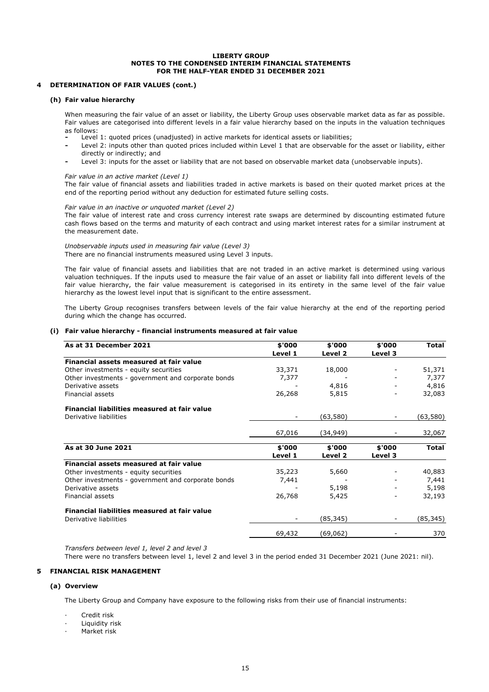#### **4 DETERMINATION OF FAIR VALUES (cont.)**

#### **(h) Fair value hierarchy**

When measuring the fair value of an asset or liability, the Liberty Group uses observable market data as far as possible. Fair values are categorised into different levels in a fair value hierarchy based on the inputs in the valuation techniques as follows:

- **-** Level 1: quoted prices (unadjusted) in active markets for identical assets or liabilities;
- **-** Level 2: inputs other than quoted prices included within Level 1 that are observable for the asset or liability, either directly or indirectly; and
- **-** Level 3: inputs for the asset or liability that are not based on observable market data (unobservable inputs).

#### *Fair value in an active market (Level 1)*

The fair value of financial assets and liabilities traded in active markets is based on their quoted market prices at the end of the reporting period without any deduction for estimated future selling costs.

#### *Fair value in an inactive or unquoted market (Level 2)*

The fair value of interest rate and cross currency interest rate swaps are determined by discounting estimated future cash flows based on the terms and maturity of each contract and using market interest rates for a similar instrument at the measurement date.

#### *Unobservable inputs used in measuring fair value (Level 3)* There are no financial instruments measured using Level 3 inputs.

The fair value of financial assets and liabilities that are not traded in an active market is determined using various valuation techniques. If the inputs used to measure the fair value of an asset or liability fall into different levels of the fair value hierarchy, the fair value measurement is categorised in its entirety in the same level of the fair value hierarchy as the lowest level input that is significant to the entire assessment.

The Liberty Group recognises transfers between levels of the fair value hierarchy at the end of the reporting period during which the change has occurred.

#### **(i) Fair value hierarchy - financial instruments measured at fair value**

| As at 31 December 2021                             | \$'000  | \$'000    | \$'000  | <b>Total</b> |
|----------------------------------------------------|---------|-----------|---------|--------------|
|                                                    | Level 1 | Level 2   | Level 3 |              |
| Financial assets measured at fair value            |         |           |         |              |
| Other investments - equity securities              | 33,371  | 18,000    |         | 51,371       |
| Other investments - government and corporate bonds | 7,377   |           |         | 7,377        |
| Derivative assets                                  |         | 4,816     |         | 4,816        |
| Financial assets                                   | 26,268  | 5,815     |         | 32,083       |
| Financial liabilities measured at fair value       |         |           |         |              |
| Derivative liabilities                             |         | (63,580)  |         | (63,580)     |
|                                                    | 67,016  | (34,949)  |         | 32,067       |
| As at 30 June 2021                                 | \$'000  | \$'000    | \$'000  | <b>Total</b> |
|                                                    | Level 1 | Level 2   | Level 3 |              |
| Financial assets measured at fair value            |         |           |         |              |
| Other investments - equity securities              | 35,223  | 5,660     |         | 40,883       |
| Other investments - government and corporate bonds | 7,441   |           |         | 7,441        |
| Derivative assets                                  |         | 5,198     |         | 5,198        |
| Financial assets                                   | 26,768  | 5,425     |         | 32,193       |
| Financial liabilities measured at fair value       |         |           |         |              |
| Derivative liabilities                             |         | (85, 345) |         | (85,345)     |
|                                                    | 69,432  | (69,062)  |         | 370          |

*Transfers between level 1, level 2 and level 3*

There were no transfers between level 1, level 2 and level 3 in the period ended 31 December 2021 (June 2021: nil).

#### **5 FINANCIAL RISK MANAGEMENT**

#### **(a) Overview**

The Liberty Group and Company have exposure to the following risks from their use of financial instruments:

- Credit risk
- Liquidity risk
- Market risk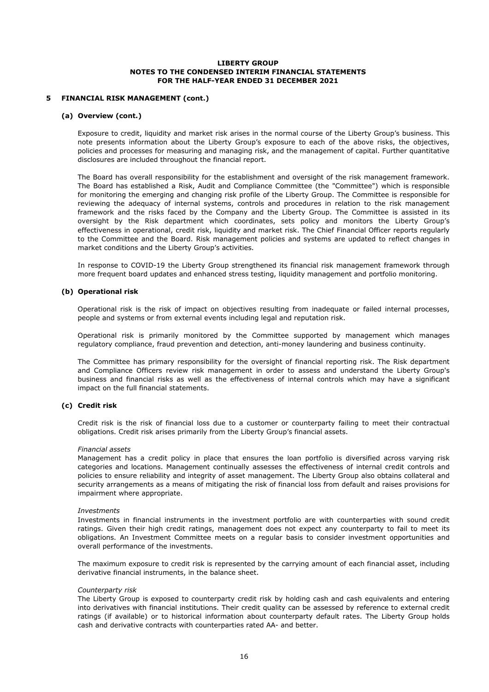#### **5 FINANCIAL RISK MANAGEMENT (cont.)**

#### **(a) Overview (cont.)**

Exposure to credit, liquidity and market risk arises in the normal course of the Liberty Group's business. This note presents information about the Liberty Group's exposure to each of the above risks, the objectives, policies and processes for measuring and managing risk, and the management of capital. Further quantitative disclosures are included throughout the financial report.

The Board has overall responsibility for the establishment and oversight of the risk management framework. The Board has established a Risk, Audit and Compliance Committee (the "Committee") which is responsible for monitoring the emerging and changing risk profile of the Liberty Group. The Committee is responsible for reviewing the adequacy of internal systems, controls and procedures in relation to the risk management framework and the risks faced by the Company and the Liberty Group. The Committee is assisted in its oversight by the Risk department which coordinates, sets policy and monitors the Liberty Group's effectiveness in operational, credit risk, liquidity and market risk. The Chief Financial Officer reports regularly to the Committee and the Board. Risk management policies and systems are updated to reflect changes in market conditions and the Liberty Group's activities.

In response to COVID-19 the Liberty Group strengthened its financial risk management framework through more frequent board updates and enhanced stress testing, liquidity management and portfolio monitoring.

#### **(b) Operational risk**

Operational risk is the risk of impact on objectives resulting from inadequate or failed internal processes, people and systems or from external events including legal and reputation risk.

Operational risk is primarily monitored by the Committee supported by management which manages regulatory compliance, fraud prevention and detection, anti-money laundering and business continuity.

The Committee has primary responsibility for the oversight of financial reporting risk. The Risk department and Compliance Officers review risk management in order to assess and understand the Liberty Group's business and financial risks as well as the effectiveness of internal controls which may have a significant impact on the full financial statements.

#### **(c) Credit risk**

Credit risk is the risk of financial loss due to a customer or counterparty failing to meet their contractual obligations. Credit risk arises primarily from the Liberty Group's financial assets.

#### *Financial assets*

Management has a credit policy in place that ensures the loan portfolio is diversified across varying risk categories and locations. Management continually assesses the effectiveness of internal credit controls and policies to ensure reliability and integrity of asset management. The Liberty Group also obtains collateral and security arrangements as a means of mitigating the risk of financial loss from default and raises provisions for impairment where appropriate.

#### *Investments*

Investments in financial instruments in the investment portfolio are with counterparties with sound credit ratings. Given their high credit ratings, management does not expect any counterparty to fail to meet its obligations. An Investment Committee meets on a regular basis to consider investment opportunities and overall performance of the investments.

The maximum exposure to credit risk is represented by the carrying amount of each financial asset, including derivative financial instruments, in the balance sheet.

#### *Counterparty risk*

The Liberty Group is exposed to counterparty credit risk by holding cash and cash equivalents and entering into derivatives with financial institutions. Their credit quality can be assessed by reference to external credit ratings (if available) or to historical information about counterparty default rates. The Liberty Group holds cash and derivative contracts with counterparties rated AA- and better.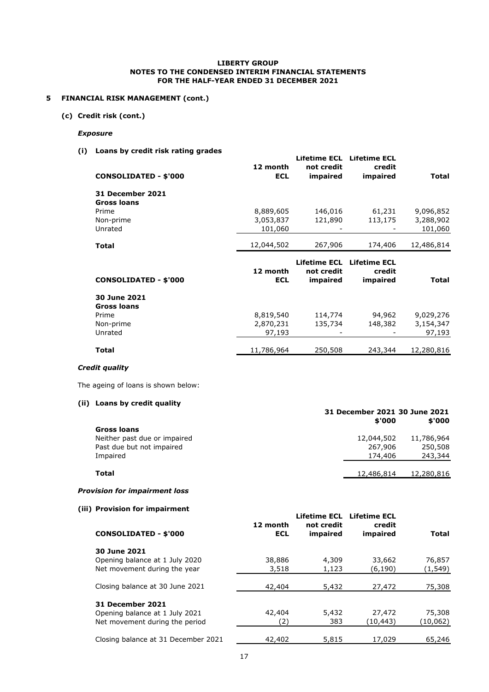#### **5 FINANCIAL RISK MANAGEMENT (cont.)**

**(c) Credit risk (cont.)**

#### *Exposure*

**(i) Loans by credit risk rating grades**

| <b>CONSOLIDATED - \$'000</b>                  | 12 month<br><b>ECL</b> | Lifetime ECL<br>not credit<br>impaired        | <b>Lifetime ECL</b><br>credit<br>impaired | Total      |
|-----------------------------------------------|------------------------|-----------------------------------------------|-------------------------------------------|------------|
| <b>31 December 2021</b><br><b>Gross loans</b> |                        |                                               |                                           |            |
| Prime                                         | 8,889,605              | 146,016                                       | 61,231                                    | 9,096,852  |
| Non-prime                                     | 3,053,837              | 121,890                                       | 113,175                                   | 3,288,902  |
| Unrated                                       | 101,060                |                                               |                                           | 101,060    |
| <b>Total</b>                                  | 12,044,502             | 267,906                                       | 174,406                                   | 12,486,814 |
|                                               |                        |                                               |                                           |            |
| <b>CONSOLIDATED - \$'000</b>                  | 12 month<br><b>ECL</b> | <b>Lifetime ECL</b><br>not credit<br>impaired | <b>Lifetime ECL</b><br>credit<br>impaired | Total      |
| 30 June 2021<br><b>Gross loans</b>            |                        |                                               |                                           |            |
| Prime                                         | 8,819,540              | 114,774                                       | 94,962                                    | 9,029,276  |
| Non-prime                                     | 2,870,231              | 135,734                                       | 148,382                                   | 3,154,347  |
| Unrated                                       | 97,193                 |                                               |                                           | 97,193     |

#### *Credit quality*

The ageing of loans is shown below:

#### **(ii) Loans by credit quality**

|                              | 31 December 2021 30 June 2021<br>\$'000 | \$'000     |
|------------------------------|-----------------------------------------|------------|
| Gross loans                  |                                         |            |
| Neither past due or impaired | 12,044,502                              | 11,786,964 |
| Past due but not impaired    | 267,906                                 | 250,508    |
| Impaired                     | 174,406                                 | 243,344    |
| Total                        | 12,486,814                              | 12,280,816 |

#### *Provision for impairment loss*

**(iii) Provision for impairment**

| <b>CONSOLIDATED - \$'000</b>        | 12 month<br>ECL | not credit<br>impaired | Lifetime ECL Lifetime ECL<br>credit<br>impaired | <b>Total</b> |
|-------------------------------------|-----------------|------------------------|-------------------------------------------------|--------------|
| 30 June 2021                        |                 |                        |                                                 |              |
| Opening balance at 1 July 2020      | 38,886          | 4,309                  | 33,662                                          | 76,857       |
| Net movement during the year        | 3,518           | 1,123                  | (6,190)                                         | (1,549)      |
| Closing balance at 30 June 2021     | 42,404          | 5,432                  | 27,472                                          | 75,308       |
| <b>31 December 2021</b>             |                 |                        |                                                 |              |
| Opening balance at 1 July 2021      | 42,404          | 5,432                  | 27,472                                          | 75,308       |
| Net movement during the period      | (2              | 383                    | (10,443)                                        | (10, 062)    |
| Closing balance at 31 December 2021 | 42,402          | 5,815                  | 17,029                                          | 65,246       |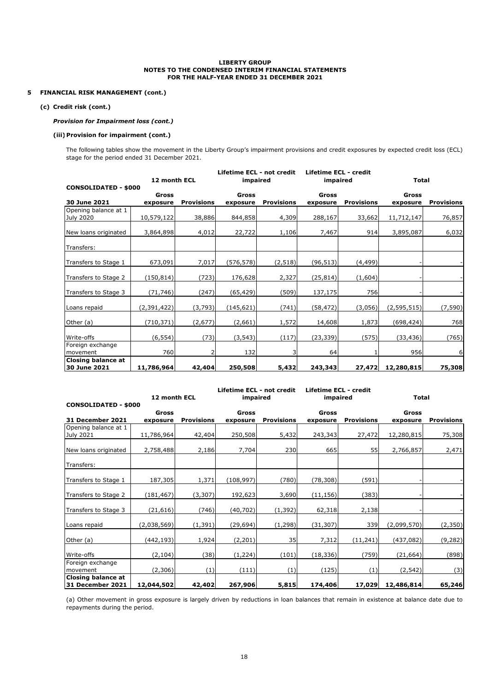#### **5 FINANCIAL RISK MANAGEMENT (cont.)**

#### **(c) Credit risk (cont.)**

#### *Provision for Impairment loss (cont.)*

#### **(iii) Provision for impairment (cont.)**

The following tables show the movement in the Liberty Group's impairment provisions and credit exposures by expected credit loss (ECL) stage for the period ended 31 December 2021.

|                                           |              |                   | Lifetime ECL - not credit |                   | Lifetime ECL - credit |                   |               |                   |
|-------------------------------------------|--------------|-------------------|---------------------------|-------------------|-----------------------|-------------------|---------------|-------------------|
|                                           | 12 month ECL |                   | impaired                  |                   | impaired              |                   | <b>Total</b>  |                   |
| <b>CONSOLIDATED - \$000</b>               |              |                   |                           |                   |                       |                   |               |                   |
| 30 June 2021                              | <b>Gross</b> | <b>Provisions</b> | <b>Gross</b>              |                   | Gross                 |                   | <b>Gross</b>  |                   |
| Opening balance at 1                      | exposure     |                   | exposure                  | <b>Provisions</b> | exposure              | <b>Provisions</b> | exposure      | <b>Provisions</b> |
| July 2020                                 | 10,579,122   | 38,886            | 844,858                   | 4,309             | 288,167               | 33,662            | 11,712,147    | 76,857            |
|                                           |              |                   |                           |                   |                       |                   |               |                   |
| New loans originated                      | 3,864,898    | 4,012             | 22,722                    | 1,106             | 7,467                 | 914               | 3,895,087     | 6,032             |
| Transfers:                                |              |                   |                           |                   |                       |                   |               |                   |
| Transfers to Stage 1                      | 673,091      | 7,017             | (576, 578)                | (2, 518)          | (96, 513)             | (4, 499)          |               |                   |
| Transfers to Stage 2                      | (150, 814)   | (723)             | 176,628                   | 2,327             | (25, 814)             | (1,604)           |               |                   |
| Transfers to Stage 3                      | (71, 746)    | (247)             | (65,429)                  | (509)             | 137,175               | 756               |               |                   |
| Loans repaid                              | (2,391,422)  | (3,793)           | (145, 621)                | (741)             | (58, 472)             | (3,056)           | (2, 595, 515) | (7,590)           |
| Other (a)                                 | (710, 371)   | (2,677)           | (2,661)                   | 1,572             | 14,608                | 1,873             | (698, 424)    | 768               |
| Write-offs                                | (6, 554)     | (73)              | (3, 543)                  | (117)             | (23, 339)             | (575)             | (33, 436)     | (765)             |
| Foreign exchange<br>movement              | 760          |                   | 132                       | 3                 | 64                    |                   | 956           | 6                 |
| <b>Closing balance at</b><br>30 June 2021 | 11,786,964   | 42,404            | 250,508                   | 5,432             | 243,343               | 27,472            | 12,280,815    | 75,308            |

|                                               | 12 month ECL |                   | Lifetime ECL - not credit<br>impaired |                   | <b>Lifetime ECL - credit</b><br>impaired |                   | <b>Total</b> |                   |
|-----------------------------------------------|--------------|-------------------|---------------------------------------|-------------------|------------------------------------------|-------------------|--------------|-------------------|
| <b>CONSOLIDATED - \$000</b>                   | Gross        |                   | Gross                                 |                   | Gross                                    |                   | Gross        |                   |
| 31 December 2021                              | exposure     | <b>Provisions</b> | exposure                              | <b>Provisions</b> | exposure                                 | <b>Provisions</b> | exposure     | <b>Provisions</b> |
| Opening balance at 1<br>July 2021             | 11,786,964   | 42,404            | 250,508                               | 5,432             | 243,343                                  | 27,472            | 12,280,815   | 75,308            |
| New loans originated                          | 2,758,488    | 2,186             | 7,704                                 | 230               | 665                                      | 55                | 2,766,857    | 2,471             |
| Transfers:                                    |              |                   |                                       |                   |                                          |                   |              |                   |
| Transfers to Stage 1                          | 187,305      | 1,371             | (108, 997)                            | (780)             | (78, 308)                                | (591)             |              |                   |
| Transfers to Stage 2                          | (181, 467)   | (3, 307)          | 192,623                               | 3,690             | (11, 156)                                | (383)             |              |                   |
| Transfers to Stage 3                          | (21, 616)    | (746)             | (40, 702)                             | (1, 392)          | 62,318                                   | 2,138             |              |                   |
| Loans repaid                                  | (2,038,569)  | (1, 391)          | (29, 694)                             | (1, 298)          | (31, 307)                                | 339               | (2,099,570)  | (2, 350)          |
| Other (a)                                     | (442, 193)   | 1,924             | (2, 201)                              | 35                | 7,312                                    | (11, 241)         | (437, 082)   | (9, 282)          |
| Write-offs                                    | (2, 104)     | (38)              | (1, 224)                              | (101)             | (18, 336)                                | (759)             | (21, 664)    | (898)             |
| Foreign exchange<br>movement                  | (2,306)      | (1)               | (111)                                 | (1)               | (125)                                    | (1)               | (2, 542)     | (3)               |
| <b>Closing balance at</b><br>31 December 2021 | 12,044,502   | 42,402            | 267,906                               | 5,815             | 174,406                                  | 17,029            | 12,486,814   | 65,246            |

(a) Other movement in gross exposure is largely driven by reductions in loan balances that remain in existence at balance date due to repayments during the period.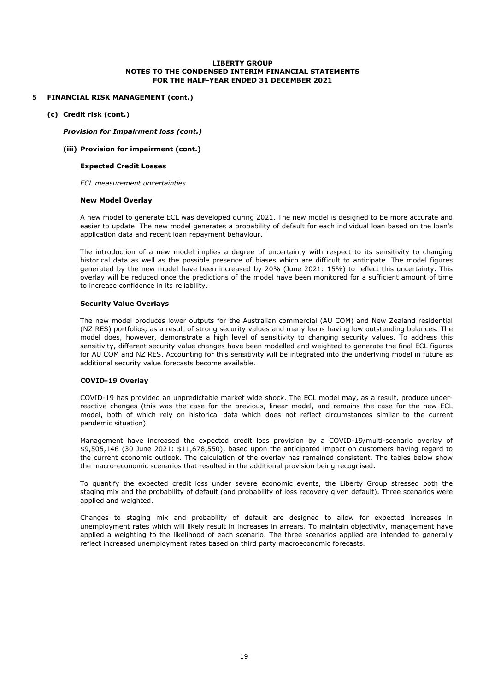#### **5 FINANCIAL RISK MANAGEMENT (cont.)**

**(c) Credit risk (cont.)**

*Provision for Impairment loss (cont.)*

#### **(iii) Provision for impairment (cont.)**

#### **Expected Credit Losses**

*ECL measurement uncertainties*

#### **New Model Overlay**

A new model to generate ECL was developed during 2021. The new model is designed to be more accurate and easier to update. The new model generates a probability of default for each individual loan based on the loan's application data and recent loan repayment behaviour.

The introduction of a new model implies a degree of uncertainty with respect to its sensitivity to changing historical data as well as the possible presence of biases which are difficult to anticipate. The model figures generated by the new model have been increased by 20% (June 2021: 15%) to reflect this uncertainty. This overlay will be reduced once the predictions of the model have been monitored for a sufficient amount of time to increase confidence in its reliability.

#### **Security Value Overlays**

The new model produces lower outputs for the Australian commercial (AU COM) and New Zealand residential (NZ RES) portfolios, as a result of strong security values and many loans having low outstanding balances. The model does, however, demonstrate a high level of sensitivity to changing security values. To address this sensitivity, different security value changes have been modelled and weighted to generate the final ECL figures for AU COM and NZ RES. Accounting for this sensitivity will be integrated into the underlying model in future as additional security value forecasts become available.

#### **COVID-19 Overlay**

COVID-19 has provided an unpredictable market wide shock. The ECL model may, as a result, produce underreactive changes (this was the case for the previous, linear model, and remains the case for the new ECL model, both of which rely on historical data which does not reflect circumstances similar to the current pandemic situation).

Management have increased the expected credit loss provision by a COVID-19/multi-scenario overlay of \$9,505,146 (30 June 2021: \$11,678,550), based upon the anticipated impact on customers having regard to the current economic outlook. The calculation of the overlay has remained consistent. The tables below show the macro-economic scenarios that resulted in the additional provision being recognised.

To quantify the expected credit loss under severe economic events, the Liberty Group stressed both the staging mix and the probability of default (and probability of loss recovery given default). Three scenarios were applied and weighted.

Changes to staging mix and probability of default are designed to allow for expected increases in unemployment rates which will likely result in increases in arrears. To maintain objectivity, management have applied a weighting to the likelihood of each scenario. The three scenarios applied are intended to generally reflect increased unemployment rates based on third party macroeconomic forecasts.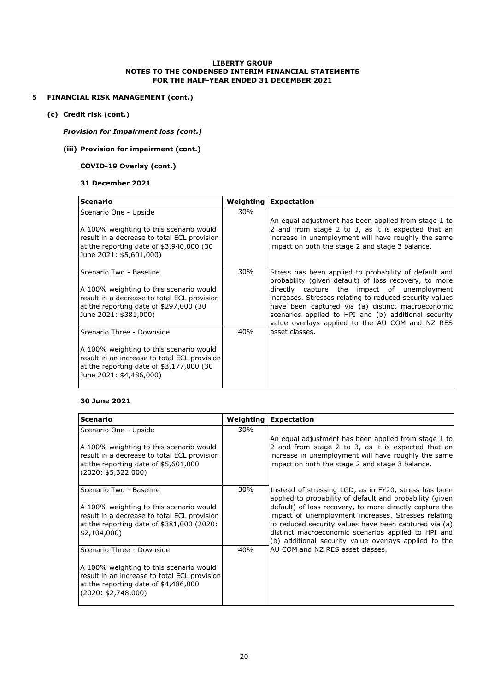#### **5 FINANCIAL RISK MANAGEMENT (cont.)**

**(c) Credit risk (cont.)**

#### *Provision for Impairment loss (cont.)*

#### **(iii) Provision for impairment (cont.)**

#### **COVID-19 Overlay (cont.)**

#### **31 December 2021**

| <b>Scenario</b>                                                                                                                                                                              |     | <b>Weighting Expectation</b>                                                                                                                                                                                                                                                                                                                                                             |
|----------------------------------------------------------------------------------------------------------------------------------------------------------------------------------------------|-----|------------------------------------------------------------------------------------------------------------------------------------------------------------------------------------------------------------------------------------------------------------------------------------------------------------------------------------------------------------------------------------------|
| Scenario One - Upside<br>A 100% weighting to this scenario would<br>result in a decrease to total ECL provision<br>at the reporting date of \$3,940,000 (30<br>June 2021: \$5,601,000)       | 30% | An equal adjustment has been applied from stage 1 to<br>2 and from stage 2 to 3, as it is expected that an<br>increase in unemployment will have roughly the same<br>impact on both the stage 2 and stage 3 balance.                                                                                                                                                                     |
| Scenario Two - Baseline<br>A 100% weighting to this scenario would<br>result in a decrease to total ECL provision<br>at the reporting date of \$297,000 (30<br>June 2021: \$381,000)         | 30% | Stress has been applied to probability of default and<br>probability (given default) of loss recovery, to more<br>directly capture the impact of unemployment<br>increases. Stresses relating to reduced security values<br>have been captured via (a) distinct macroeconomic<br>scenarios applied to HPI and (b) additional security<br>value overlays applied to the AU COM and NZ RES |
| Scenario Three - Downside<br>A 100% weighting to this scenario would<br>result in an increase to total ECL provision<br>at the reporting date of $$3,177,000$ (30<br>June 2021: \$4,486,000) | 40% | asset classes.                                                                                                                                                                                                                                                                                                                                                                           |

#### **30 June 2021**

| Scenario                                                                                                                                                                       |     | <b>Weighting Expectation</b>                                                                                                                                                                                                                                                                                                                                                                                  |
|--------------------------------------------------------------------------------------------------------------------------------------------------------------------------------|-----|---------------------------------------------------------------------------------------------------------------------------------------------------------------------------------------------------------------------------------------------------------------------------------------------------------------------------------------------------------------------------------------------------------------|
| Scenario One - Upside<br>A 100% weighting to this scenario would<br>result in a decrease to total ECL provision<br>at the reporting date of \$5,601,000<br>(2020: \$5,322,000) | 30% | An equal adjustment has been applied from stage 1 to<br>2 and from stage 2 to 3, as it is expected that an<br>increase in unemployment will have roughly the same<br>impact on both the stage 2 and stage 3 balance.                                                                                                                                                                                          |
| Scenario Two - Baseline<br>A 100% weighting to this scenario would<br>result in a decrease to total ECL provision<br>at the reporting date of \$381,000 (2020:<br>\$2,104,000  | 30% | Instead of stressing LGD, as in FY20, stress has been<br>applied to probability of default and probability (given)<br>default) of loss recovery, to more directly capture the<br>impact of unemployment increases. Stresses relating<br>to reduced security values have been captured via (a)<br>distinct macroeconomic scenarios applied to HPI and<br>(b) additional security value overlays applied to the |
| Scenario Three - Downside                                                                                                                                                      | 40% | AU COM and NZ RES asset classes.                                                                                                                                                                                                                                                                                                                                                                              |
| A 100% weighting to this scenario would<br>result in an increase to total ECL provision<br>at the reporting date of \$4,486,000<br>(2020: \$2,748,000)                         |     |                                                                                                                                                                                                                                                                                                                                                                                                               |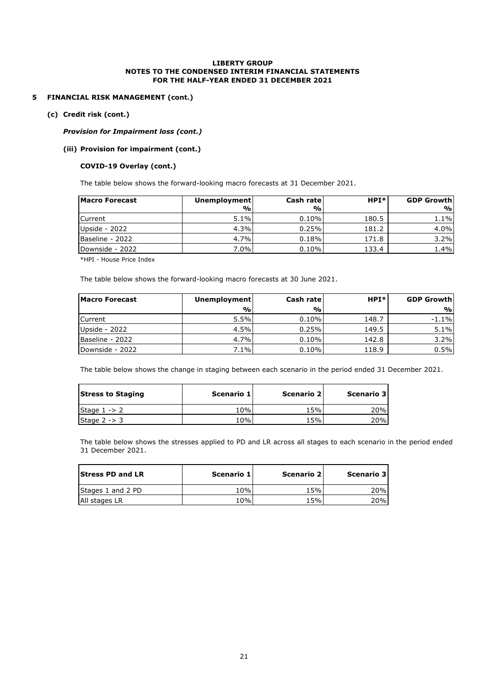#### **5 FINANCIAL RISK MANAGEMENT (cont.)**

#### **(c) Credit risk (cont.)**

#### *Provision for Impairment loss (cont.)*

#### **(iii) Provision for impairment (cont.)**

#### **COVID-19 Overlay (cont.)**

The table below shows the forward-looking macro forecasts at 31 December 2021.

| <b>Macro Forecast</b> | <b>Unemployment</b> | Cash rate | $HPI*$ | <b>GDP Growth</b> |
|-----------------------|---------------------|-----------|--------|-------------------|
|                       | %                   | %         |        | 9/0               |
| <b>ICurrent</b>       | 5.1%                | 0.10%     | 180.5  | 1.1%              |
| Upside - 2022         | 4.3%                | 0.25%     | 181.2  | 4.0%              |
| Baseline - 2022       | 4.7%                | 0.18%     | 171.8  | 3.2%              |
| Downside - 2022       | 7.0%                | 0.10%     | 133.4  | 1.4%              |

\*HPI - House Price Index

The table below shows the forward-looking macro forecasts at 30 June 2021.

| <b>Macro Forecast</b> | Unemployment  | Cash rate | $HPI*$ | <b>GDP Growth</b> |
|-----------------------|---------------|-----------|--------|-------------------|
|                       | $\frac{9}{0}$ | %         |        | %                 |
| <b>Current</b>        | 5.5%          | 0.10%     | 148.7  | $-1.1\%$          |
| Upside - 2022         | 4.5%          | 0.25%     | 149.5  | 5.1%              |
| Baseline - 2022       | 4.7%          | 0.10%     | 142.8  | 3.2%              |
| Downside - 2022       | 7.1%          | 0.10%     | 118.9  | 0.5%              |

The table below shows the change in staging between each scenario in the period ended 31 December 2021.

| <b>Stress to Staging</b> | Scenario 1 | Scenario 2 | Scenario 3 |
|--------------------------|------------|------------|------------|
| Stage $1 - > 2$          | 10%        | 15%        | 20%        |
| Stage $2 - 3$            | 10%        | 15%        | 20%        |

The table below shows the stresses applied to PD and LR across all stages to each scenario in the period ended 31 December 2021.

| <b>Stress PD and LR</b> | Scenario 1 | Scenario 2 | Scenario 3 |
|-------------------------|------------|------------|------------|
| Stages 1 and 2 PD       | 10%        | 15%        | 20%l       |
| All stages LR           | 10%        | 15%        | 20%l       |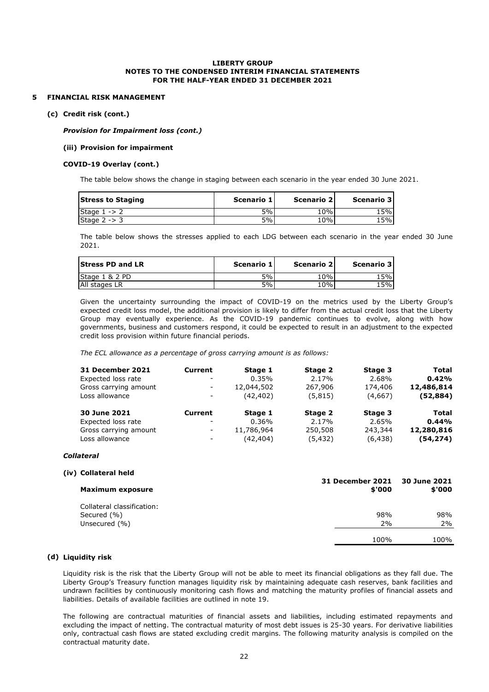#### **5 FINANCIAL RISK MANAGEMENT**

#### **(c) Credit risk (cont.)**

*Provision for Impairment loss (cont.)*

#### **(iii) Provision for impairment**

#### **COVID-19 Overlay (cont.)**

The table below shows the change in staging between each scenario in the year ended 30 June 2021.

| <b>Stress to Staging</b> | Scenario 1 | Scenario 2 | Scenario 3 |
|--------------------------|------------|------------|------------|
| Stage $1 - > 2$          | 5%         | 10%        | 15%        |
| Stage $2 - 3$            | 5%         | 10%        | 15%        |

The table below shows the stresses applied to each LDG between each scenario in the year ended 30 June 2021.

| <b>Stress PD and LR</b> | Scenario 1 | Scenario 2 | Scenario 3 |
|-------------------------|------------|------------|------------|
| Stage 1 & 2 PD          | 5%         | 10%        | 15%        |
| All stages LR           | 5%         | 10%        | 15%        |

Given the uncertainty surrounding the impact of COVID-19 on the metrics used by the Liberty Group's expected credit loss model, the additional provision is likely to differ from the actual credit loss that the Liberty Group may eventually experience. As the COVID-19 pandemic continues to evolve, along with how governments, business and customers respond, it could be expected to result in an adjustment to the expected credit loss provision within future financial periods.

*The ECL allowance as a percentage of gross carrying amount is as follows:*

| <b>31 December 2021</b> | <b>Current</b>           | Stage 1    | Stage 2  | Stage 3  | <b>Total</b> |
|-------------------------|--------------------------|------------|----------|----------|--------------|
| Expected loss rate      | $\overline{\phantom{a}}$ | 0.35%      | 2.17%    | 2.68%    | 0.42%        |
| Gross carrying amount   | $\overline{\phantom{a}}$ | 12,044,502 | 267,906  | 174,406  | 12,486,814   |
| Loss allowance          | $\overline{\phantom{a}}$ | (42, 402)  | (5,815)  | (4,667)  | (52, 884)    |
| 30 June 2021            | <b>Current</b>           | Stage 1    | Stage 2  | Stage 3  | Total        |
| Expected loss rate      | $\overline{\phantom{a}}$ | 0.36%      | 2.17%    | 2.65%    | 0.44%        |
| Gross carrying amount   | $\overline{\phantom{a}}$ | 11,786,964 | 250,508  | 243,344  | 12,280,816   |
| Loss allowance          | $\overline{\phantom{a}}$ | (42, 404)  | (5, 432) | (6, 438) | (54, 274)    |

#### *Collateral*

| (iv) Collateral held       |                                   |                        |
|----------------------------|-----------------------------------|------------------------|
| <b>Maximum exposure</b>    | <b>31 December 2021</b><br>\$'000 | 30 June 2021<br>\$'000 |
| Collateral classification: |                                   |                        |
| Secured (%)                | 98%                               | 98%                    |
| Unsecured (%)              | 2%                                | 2%                     |
|                            | 100%                              | 100%                   |

#### **(d) Liquidity risk**

Liquidity risk is the risk that the Liberty Group will not be able to meet its financial obligations as they fall due. The Liberty Group's Treasury function manages liquidity risk by maintaining adequate cash reserves, bank facilities and undrawn facilities by continuously monitoring cash flows and matching the maturity profiles of financial assets and liabilities. Details of available facilities are outlined in note 19.

The following are contractual maturities of financial assets and liabilities, including estimated repayments and excluding the impact of netting. The contractual maturity of most debt issues is 25-30 years. For derivative liabilities only, contractual cash flows are stated excluding credit margins. The following maturity analysis is compiled on the contractual maturity date.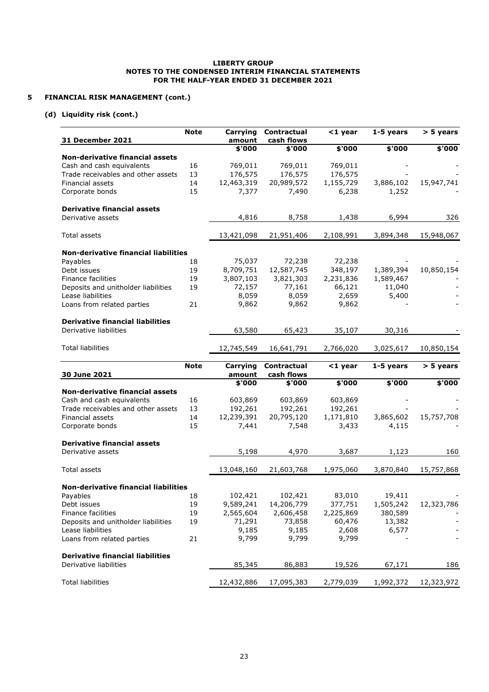#### **5 FINANCIAL RISK MANAGEMENT (cont.)**

#### **(d) Liquidity risk (cont.)**

| 31 December 2021                            | <b>Note</b> | Carrying<br>amount     | Contractual<br>cash flows | $<$ 1 year          | 1-5 years            | $> 5$ years |
|---------------------------------------------|-------------|------------------------|---------------------------|---------------------|----------------------|-------------|
|                                             |             | \$'000                 | \$'000                    | \$'000              | \$'000               | \$'000      |
| <b>Non-derivative financial assets</b>      |             |                        |                           |                     |                      |             |
| Cash and cash equivalents                   | 16          | 769,011                | 769,011                   | 769,011             |                      |             |
| Trade receivables and other assets          | 13          | 176,575                | 176,575                   | 176,575             |                      |             |
| Financial assets                            | 14          | 12,463,319             | 20,989,572                | 1,155,729           | 3,886,102            | 15,947,741  |
| Corporate bonds                             | 15          | 7,377                  | 7,490                     | 6,238               | 1,252                |             |
| <b>Derivative financial assets</b>          |             |                        |                           |                     |                      |             |
| Derivative assets                           |             | 4,816                  | 8,758                     | 1,438               | 6,994                | 326         |
| Total assets                                |             | 13,421,098             | 21,951,406                | 2,108,991           | 3,894,348            | 15,948,067  |
| <b>Non-derivative financial liabilities</b> |             |                        |                           |                     |                      |             |
| Payables                                    | 18          | 75,037                 | 72,238                    | 72,238              |                      |             |
| Debt issues                                 | 19          | 8,709,751              | 12,587,745                | 348,197             | 1,389,394            | 10,850,154  |
| <b>Finance facilities</b>                   | 19          | 3,807,103              | 3,821,303                 | 2,231,836           | 1,589,467            |             |
| Deposits and unitholder liabilities         | 19          | 72,157                 | 77,161                    | 66,121              | 11,040               |             |
| Lease liabilities                           |             | 8,059                  | 8,059                     | 2,659               | 5,400                |             |
| Loans from related parties                  | 21          | 9,862                  | 9,862                     | 9,862               |                      |             |
| <b>Derivative financial liabilities</b>     |             |                        |                           |                     |                      |             |
| Derivative liabilities                      |             | 63,580                 | 65,423                    | 35,107              | 30,316               |             |
| <b>Total liabilities</b>                    |             | 12,745,549             | 16,641,791                | 2,766,020           | 3,025,617            | 10,850,154  |
|                                             | <b>Note</b> | Carrying               | Contractual               | $<$ 1 year          | 1-5 years            | > 5 years   |
| 30 June 2021                                |             | amount                 | cash flows                |                     |                      |             |
|                                             |             | \$'000                 | \$'000                    | \$'000              | \$'000               | \$'000      |
| Non-derivative financial assets             |             |                        |                           |                     |                      |             |
| Cash and cash equivalents                   | 16          | 603,869                | 603,869                   | 603,869             |                      |             |
| Trade receivables and other assets          | 13          | 192,261                | 192,261                   | 192,261             |                      |             |
| Financial assets                            | 14          |                        |                           |                     |                      |             |
|                                             |             | 12,239,391             | 20,795,120                | 1,171,810           | 3,865,602            | 15,757,708  |
| Corporate bonds                             | 15          | 7,441                  | 7,548                     | 3,433               | 4,115                |             |
| <b>Derivative financial assets</b>          |             |                        |                           |                     |                      |             |
| Derivative assets                           |             | 5,198                  | 4,970                     | 3,687               | 1,123                | 160         |
| Total assets                                |             | 13,048,160             | 21,603,768                | 1,975,060           | 3,870,840            | 15,757,868  |
| <b>Non-derivative financial liabilities</b> |             |                        |                           |                     |                      |             |
|                                             |             |                        |                           |                     |                      |             |
| Payables                                    | 18<br>19    | 102,421                | 102,421                   | 83,010              | 19,411               |             |
| Debt issues<br>Finance facilities           | 19          | 9,589,241<br>2,565,604 | 14,206,779                | 377,751             | 1,505,242<br>380,589 | 12,323,786  |
| Deposits and unitholder liabilities         | 19          |                        | 2,606,458                 | 2,225,869<br>60,476 |                      |             |
| Lease liabilities                           |             | 71,291                 | 73,858<br>9,185           |                     | 13,382<br>6,577      |             |
| Loans from related parties                  | 21          | 9,185<br>9,799         | 9,799                     | 2,608<br>9,799      |                      |             |
| <b>Derivative financial liabilities</b>     |             |                        |                           |                     |                      |             |
| Derivative liabilities                      |             | 85,345                 | 86,883                    | 19,526              | 67,171               | 186         |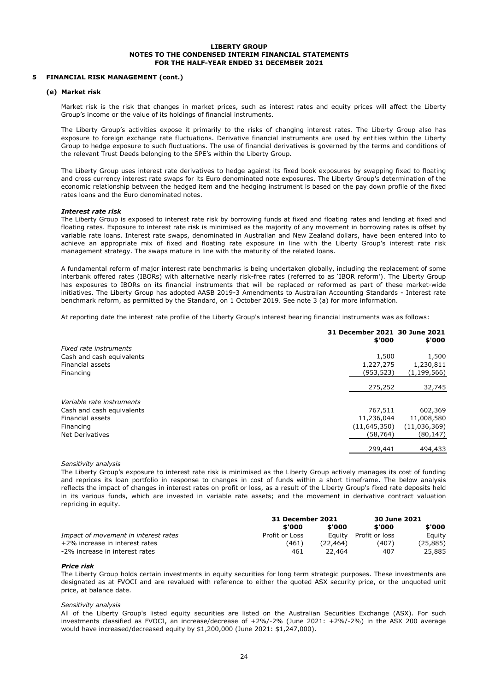#### **5 FINANCIAL RISK MANAGEMENT (cont.)**

#### **(e) Market risk**

Market risk is the risk that changes in market prices, such as interest rates and equity prices will affect the Liberty Group's income or the value of its holdings of financial instruments.

The Liberty Group's activities expose it primarily to the risks of changing interest rates. The Liberty Group also has exposure to foreign exchange rate fluctuations. Derivative financial instruments are used by entities within the Liberty Group to hedge exposure to such fluctuations. The use of financial derivatives is governed by the terms and conditions of the relevant Trust Deeds belonging to the SPE's within the Liberty Group.

The Liberty Group uses interest rate derivatives to hedge against its fixed book exposures by swapping fixed to floating and cross currency interest rate swaps for its Euro denominated note exposures. The Liberty Group's determination of the economic relationship between the hedged item and the hedging instrument is based on the pay down profile of the fixed rates loans and the Euro denominated notes.

#### *Interest rate risk*

The Liberty Group is exposed to interest rate risk by borrowing funds at fixed and floating rates and lending at fixed and floating rates. Exposure to interest rate risk is minimised as the majority of any movement in borrowing rates is offset by variable rate loans. Interest rate swaps, denominated in Australian and New Zealand dollars, have been entered into to achieve an appropriate mix of fixed and floating rate exposure in line with the Liberty Group's interest rate risk management strategy. The swaps mature in line with the maturity of the related loans.

A fundamental reform of major interest rate benchmarks is being undertaken globally, including the replacement of some interbank offered rates (IBORs) with alternative nearly risk-free rates (referred to as 'IBOR reform'). The Liberty Group has exposures to IBORs on its financial instruments that will be replaced or reformed as part of these market-wide initiatives. The Liberty Group has adopted AASB 2019-3 Amendments to Australian Accounting Standards - Interest rate benchmark reform, as permitted by the Standard, on 1 October 2019. See note 3 (a) for more information.

At reporting date the interest rate profile of the Liberty Group's interest bearing financial instruments was as follows:

|                           | 31 December 2021 30 June 2021<br>\$'000 | \$'000       |
|---------------------------|-----------------------------------------|--------------|
| Fixed rate instruments    |                                         |              |
| Cash and cash equivalents | 1,500                                   | 1,500        |
| Financial assets          | 1,227,275                               | 1,230,811    |
| Financing                 | (953,523)                               | (1,199,566)  |
|                           | 275,252                                 | 32,745       |
| Variable rate instruments |                                         |              |
| Cash and cash equivalents | 767,511                                 | 602,369      |
| Financial assets          | 11,236,044                              | 11,008,580   |
| Financing                 | (11, 645, 350)                          | (11,036,369) |
| <b>Net Derivatives</b>    | (58,764)                                | (80,147)     |
|                           | 299,441                                 | 494,433      |

#### *Sensitivity analysis*

The Liberty Group's exposure to interest rate risk is minimised as the Liberty Group actively manages its cost of funding and reprices its loan portfolio in response to changes in cost of funds within a short timeframe. The below analysis reflects the impact of changes in interest rates on profit or loss, as a result of the Liberty Group's fixed rate deposits held in its various funds, which are invested in variable rate assets; and the movement in derivative contract valuation repricing in equity.

|                                      | <b>31 December 2021</b> |          | 30 June 2021   |           |
|--------------------------------------|-------------------------|----------|----------------|-----------|
|                                      | \$'000                  | \$'000   | \$'000         | \$'000    |
| Impact of movement in interest rates | Profit or Loss          | Eauitv   | Profit or loss | Eauity    |
| +2% increase in interest rates       | (461)                   | (22.464) | (407)          | (25, 885) |
| -2% increase in interest rates       | 461                     | 22.464   | 407            | 25,885    |

#### *Price risk*

The Liberty Group holds certain investments in equity securities for long term strategic purposes. These investments are designated as at FVOCI and are revalued with reference to either the quoted ASX security price, or the unquoted unit price, at balance date.

#### *Sensitivity analysis*

All of the Liberty Group's listed equity securities are listed on the Australian Securities Exchange (ASX). For such investments classified as FVOCI, an increase/decrease of +2%/-2% (June 2021: +2%/-2%) in the ASX 200 average would have increased/decreased equity by \$1,200,000 (June 2021: \$1,247,000).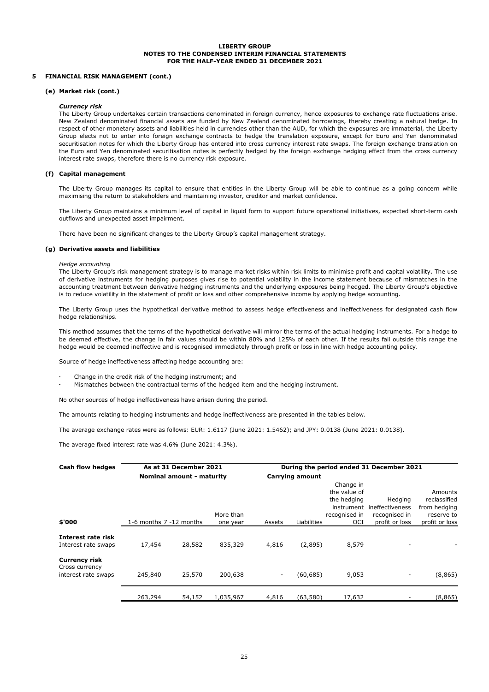#### **5 FINANCIAL RISK MANAGEMENT (cont.)**

#### **(e) Market risk (cont.)**

#### *Currency risk*

The Liberty Group undertakes certain transactions denominated in foreign currency, hence exposures to exchange rate fluctuations arise. New Zealand denominated financial assets are funded by New Zealand denominated borrowings, thereby creating a natural hedge. In respect of other monetary assets and liabilities held in currencies other than the AUD, for which the exposures are immaterial, the Liberty Group elects not to enter into foreign exchange contracts to hedge the translation exposure, except for Euro and Yen denominated securitisation notes for which the Liberty Group has entered into cross currency interest rate swaps. The foreign exchange translation on the Euro and Yen denominated securitisation notes is perfectly hedged by the foreign exchange hedging effect from the cross currency interest rate swaps, therefore there is no currency risk exposure.

#### **(f) Capital management**

The Liberty Group manages its capital to ensure that entities in the Liberty Group will be able to continue as a going concern while maximising the return to stakeholders and maintaining investor, creditor and market confidence.

The Liberty Group maintains a minimum level of capital in liquid form to support future operational initiatives, expected short-term cash outflows and unexpected asset impairment.

There have been no significant changes to the Liberty Group's capital management strategy.

#### **(g) Derivative assets and liabilities**

#### *Hedge accounting*

The Liberty Group's risk management strategy is to manage market risks within risk limits to minimise profit and capital volatility. The use of derivative instruments for hedging purposes gives rise to potential volatility in the income statement because of mismatches in the accounting treatment between derivative hedging instruments and the underlying exposures being hedged. The Liberty Group's objective is to reduce volatility in the statement of profit or loss and other comprehensive income by applying hedge accounting.

The Liberty Group uses the hypothetical derivative method to assess hedge effectiveness and ineffectiveness for designated cash flow hedge relationships.

This method assumes that the terms of the hypothetical derivative will mirror the terms of the actual hedging instruments. For a hedge to be deemed effective, the change in fair values should be within 80% and 125% of each other. If the results fall outside this range the hedge would be deemed ineffective and is recognised immediately through profit or loss in line with hedge accounting policy.

Source of hedge ineffectiveness affecting hedge accounting are:

- Change in the credit risk of the hedging instrument; and
- Mismatches between the contractual terms of the hedged item and the hedging instrument.

No other sources of hedge ineffectiveness have arisen during the period.

The amounts relating to hedging instruments and hedge ineffectiveness are presented in the tables below.

The average exchange rates were as follows: EUR: 1.6117 (June 2021: 1.5462); and JPY: 0.0138 (June 2021: 0.0138).

The average fixed interest rate was 4.6% (June 2021: 4.3%).

| Cash flow hedges                       | As at 31 December 2021  |                           |           | During the period ended 31 December 2021 |                 |               |                 |                |
|----------------------------------------|-------------------------|---------------------------|-----------|------------------------------------------|-----------------|---------------|-----------------|----------------|
|                                        |                         | Nominal amount - maturity |           |                                          | Carrying amount |               |                 |                |
|                                        |                         |                           |           |                                          |                 | Change in     |                 |                |
|                                        |                         |                           |           |                                          |                 | the value of  |                 | Amounts        |
|                                        |                         |                           |           |                                          |                 | the hedging   | Hedging         | reclassified   |
|                                        |                         |                           |           |                                          |                 | instrument    | ineffectiveness | from hedging   |
|                                        |                         |                           | More than |                                          |                 | recognised in | recognised in   | reserve to     |
| \$'000                                 | 1-6 months 7 -12 months |                           | one year  | Assets                                   | Liabilities     | OCI           | profit or loss  | profit or loss |
| Interest rate risk                     |                         |                           |           |                                          |                 |               |                 |                |
| Interest rate swaps                    | 17,454                  | 28,582                    | 835,329   | 4,816                                    | (2,895)         | 8,579         |                 |                |
| <b>Currency risk</b><br>Cross currency |                         |                           |           |                                          |                 |               |                 |                |
| interest rate swaps                    | 245,840                 | 25,570                    | 200,638   | $\overline{\phantom{a}}$                 | (60, 685)       | 9,053         | -               | (8, 865)       |
|                                        | 263,294                 | 54,152                    | 1,035,967 | 4,816                                    | (63,580)        | 17,632        |                 | (8,865)        |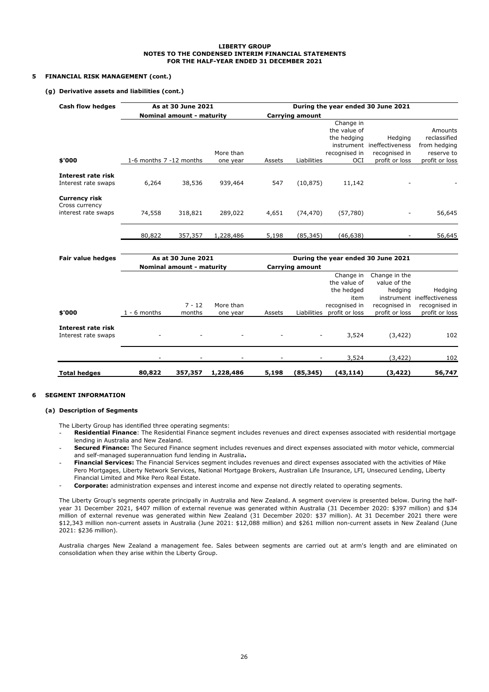#### **5 FINANCIAL RISK MANAGEMENT (cont.)**

#### **(g) Derivative assets and liabilities (cont.)**

| Cash flow hedges                                              | As at 30 June 2021      |                           |           | During the year ended 30 June 2021 |                        |               |                                    |                |
|---------------------------------------------------------------|-------------------------|---------------------------|-----------|------------------------------------|------------------------|---------------|------------------------------------|----------------|
|                                                               |                         | Nominal amount - maturity |           |                                    | <b>Carrying amount</b> |               |                                    |                |
|                                                               |                         |                           |           |                                    |                        | Change in     |                                    |                |
|                                                               |                         |                           |           |                                    |                        | the value of  |                                    | Amounts        |
|                                                               |                         |                           |           |                                    |                        | the hedging   | Hedging                            | reclassified   |
|                                                               |                         |                           |           |                                    |                        | instrument    | ineffectiveness                    | from hedging   |
|                                                               |                         |                           | More than |                                    |                        | recognised in | recognised in                      | reserve to     |
| \$'000                                                        | 1-6 months 7 -12 months |                           | one year  | Assets                             | Liabilities            | OCI           | profit or loss                     | profit or loss |
| Interest rate risk<br>Interest rate swaps                     | 6,264                   | 38,536                    | 939,464   | 547                                | (10, 875)              | 11,142        |                                    |                |
| <b>Currency risk</b><br>Cross currency<br>interest rate swaps | 74,558                  | 318,821                   | 289,022   | 4,651                              | (74, 470)              | (57, 780)     |                                    | 56,645         |
|                                                               | 80,822                  | 357,357                   | 1,228,486 | 5,198                              | (85, 345)              | (46, 638)     |                                    | 56,645         |
| <b>Fair value hedges</b>                                      |                         | As at 30 June 2021        |           |                                    |                        |               | During the year ended 30 June 2021 |                |

| <b>Fail value lieuges</b>                 | AS AL JU JUIIC LULL       |          |           | <b>During the year enged 50 June 2021</b> |                        |                |                |                            |
|-------------------------------------------|---------------------------|----------|-----------|-------------------------------------------|------------------------|----------------|----------------|----------------------------|
|                                           | Nominal amount - maturity |          |           |                                           | <b>Carrying amount</b> |                |                |                            |
|                                           |                           |          |           |                                           |                        | Change in      | Change in the  |                            |
|                                           |                           |          |           |                                           |                        | the value of   | value of the   |                            |
|                                           |                           |          |           |                                           |                        | the hedged     | hedging        | Hedging                    |
|                                           |                           |          |           |                                           |                        | item           |                | instrument ineffectiveness |
|                                           |                           | $7 - 12$ | More than |                                           |                        | recognised in  | recognised in  | recognised in              |
| \$'000                                    | $1 - 6$ months            | months   | one year  | Assets                                    | Liabilities            | profit or loss | profit or loss | profit or loss             |
| Interest rate risk<br>Interest rate swaps |                           |          | ٠         |                                           |                        | 3,524          | (3, 422)       | 102                        |
|                                           |                           |          |           |                                           |                        | 3,524          | (3, 422)       | 102                        |
| <b>Total hedges</b>                       | 80,822                    | 357,357  | 1,228,486 | 5,198                                     | (85, 345)              | (43, 114)      | (3, 422)       | 56,747                     |

#### **6 SEGMENT INFORMATION**

#### **(a) Description of Segments**

The Liberty Group has identified three operating segments:

- **Residential Finance**: The Residential Finance segment includes revenues and direct expenses associated with residential mortgage lending in Australia and New Zealand.
- **Secured Finance:** The Secured Finance segment includes revenues and direct expenses associated with motor vehicle, commercial and self-managed superannuation fund lending in Australia**.**
- **Financial Services:** The Financial Services segment includes revenues and direct expenses associated with the activities of Mike Pero Mortgages, Liberty Network Services, National Mortgage Brokers, Australian Life Insurance, LFI, Unsecured Lending, Liberty Financial Limited and Mike Pero Real Estate.
- **Corporate:** administration expenses and interest income and expense not directly related to operating segments.

The Liberty Group's segments operate principally in Australia and New Zealand. A segment overview is presented below. During the halfyear 31 December 2021, \$407 million of external revenue was generated within Australia (31 December 2020: \$397 million) and \$34 million of external revenue was generated within New Zealand (31 December 2020: \$37 million). At 31 December 2021 there were \$12,343 million non-current assets in Australia (June 2021: \$12,088 million) and \$261 million non-current assets in New Zealand (June 2021: \$236 million).

Australia charges New Zealand a management fee. Sales between segments are carried out at arm's length and are eliminated on consolidation when they arise within the Liberty Group.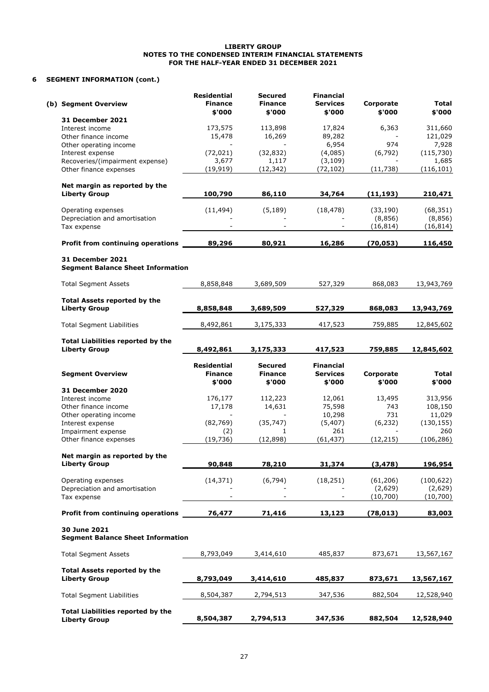#### **6 SEGMENT INFORMATION (cont.)**

| (b) Segment Overview                                                | <b>Residential</b><br><b>Finance</b><br>\$'000 | <b>Secured</b><br><b>Finance</b><br>\$'000 | <b>Financial</b><br><b>Services</b><br>\$'000 | Corporate<br>\$'000  | <b>Total</b><br>\$'000 |
|---------------------------------------------------------------------|------------------------------------------------|--------------------------------------------|-----------------------------------------------|----------------------|------------------------|
| <b>31 December 2021</b>                                             |                                                |                                            |                                               |                      |                        |
| Interest income                                                     | 173,575                                        | 113,898                                    | 17,824                                        | 6,363                | 311,660                |
| Other finance income                                                | 15,478                                         | 16,269                                     | 89,282                                        |                      | 121,029                |
| Other operating income                                              |                                                |                                            | 6,954                                         | 974                  | 7,928                  |
| Interest expense                                                    | (72, 021)<br>3,677                             | (32, 832)<br>1,117                         | (4,085)                                       | (6, 792)             | (115, 730)<br>1,685    |
| Recoveries/(impairment expense)<br>Other finance expenses           | (19, 919)                                      | (12, 342)                                  | (3, 109)<br>(72, 102)                         | (11, 738)            | (116, 101)             |
|                                                                     |                                                |                                            |                                               |                      |                        |
| Net margin as reported by the<br><b>Liberty Group</b>               | 100,790                                        | 86,110                                     | 34,764                                        | (11, 193)            | 210,471                |
|                                                                     | (11, 494)                                      | (5, 189)                                   | (18, 478)                                     | (33, 190)            | (68, 351)              |
| Operating expenses<br>Depreciation and amortisation                 |                                                |                                            |                                               | (8,856)              | (8,856)                |
| Tax expense                                                         |                                                |                                            |                                               | (16, 814)            | (16, 814)              |
| Profit from continuing operations                                   | 89,296                                         | 80,921                                     | 16,286                                        | (70, 053)            | 116,450                |
|                                                                     |                                                |                                            |                                               |                      |                        |
| <b>31 December 2021</b><br><b>Segment Balance Sheet Information</b> |                                                |                                            |                                               |                      |                        |
| <b>Total Segment Assets</b>                                         | 8,858,848                                      | 3,689,509                                  | 527,329                                       | 868,083              | 13,943,769             |
|                                                                     |                                                |                                            |                                               |                      |                        |
| <b>Total Assets reported by the</b><br><b>Liberty Group</b>         | 8,858,848                                      | 3,689,509                                  | 527,329                                       | 868,083              | 13,943,769             |
|                                                                     |                                                |                                            |                                               |                      |                        |
| <b>Total Segment Liabilities</b>                                    | 8,492,861                                      | 3,175,333                                  | 417,523                                       | 759,885              | 12,845,602             |
| <b>Total Liabilities reported by the</b>                            |                                                |                                            |                                               |                      |                        |
| <b>Liberty Group</b>                                                | 8,492,861                                      | 3,175,333                                  | 417,523                                       | 759,885              | 12,845,602             |
|                                                                     | Residential                                    | <b>Secured</b>                             | <b>Financial</b>                              |                      |                        |
| <b>Segment Overview</b>                                             | <b>Finance</b>                                 | <b>Finance</b>                             | <b>Services</b>                               | Corporate            | Total                  |
|                                                                     | \$'000                                         | \$'000                                     | \$'000                                        | \$'000               | \$'000                 |
| <b>31 December 2020</b>                                             |                                                |                                            |                                               |                      |                        |
| Interest income                                                     | 176,177                                        | 112,223                                    | 12,061                                        | 13,495               | 313,956                |
| Other finance income                                                | 17,178                                         | 14,631                                     | 75,598                                        | 743<br>731           | 108,150<br>11,029      |
| Other operating income<br>Interest expense                          | (82,769)                                       | (35, 747)                                  | 10,298<br>(5, 407)                            | (6, 232)             | (130, 155)             |
| Impairment expense                                                  | (2)                                            | 1                                          | 261                                           |                      | 260                    |
| Other finance expenses                                              | (19, 736)                                      | (12, 898)                                  | (61, 437)                                     | (12, 215)            | (106, 286)             |
|                                                                     |                                                |                                            |                                               |                      |                        |
| Net margin as reported by the<br><b>Liberty Group</b>               | 90,848                                         | 78,210                                     | 31,374                                        | (3, 478)             | 196,954                |
|                                                                     |                                                |                                            |                                               |                      |                        |
| Operating expenses<br>Depreciation and amortisation                 | (14, 371)                                      | (6, 794)                                   | (18, 251)                                     | (61, 206)<br>(2,629) | (100, 622)<br>(2,629)  |
| Tax expense                                                         |                                                |                                            |                                               | (10,700)             | (10,700)               |
| Profit from continuing operations                                   | 76,477                                         | 71,416                                     | 13,123                                        | (78, 013)            | 83,003                 |
|                                                                     |                                                |                                            |                                               |                      |                        |
|                                                                     |                                                |                                            |                                               |                      |                        |
| 30 June 2021<br><b>Segment Balance Sheet Information</b>            |                                                |                                            |                                               |                      |                        |
| <b>Total Segment Assets</b>                                         | 8,793,049                                      | 3,414,610                                  | 485,837                                       | 873,671              |                        |
| <b>Total Assets reported by the</b>                                 |                                                |                                            |                                               |                      | 13,567,167             |
| <b>Liberty Group</b>                                                | 8,793,049                                      | 3,414,610                                  | 485,837                                       | 873,671              | 13,567,167             |
| <b>Total Segment Liabilities</b>                                    | 8,504,387                                      | 2,794,513                                  | 347,536                                       | 882,504              |                        |
| <b>Total Liabilities reported by the</b>                            |                                                |                                            |                                               |                      | 12,528,940             |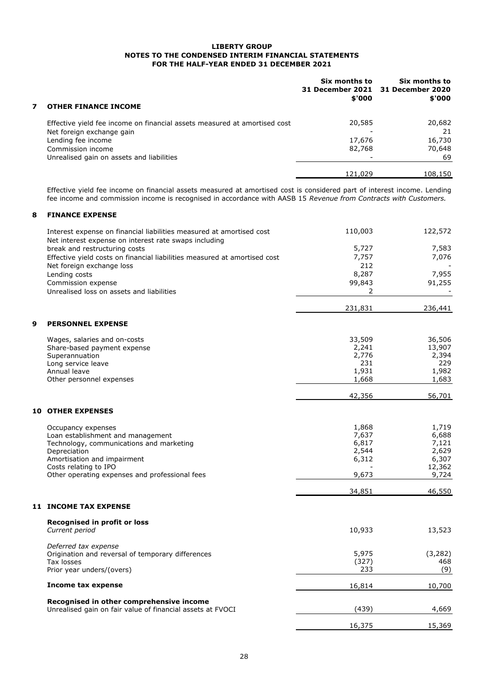|   |                                                                           | Six months to<br>\$'000 | Six months to<br>31 December 2021 31 December 2020<br>\$'000 |
|---|---------------------------------------------------------------------------|-------------------------|--------------------------------------------------------------|
| 7 | <b>OTHER FINANCE INCOME</b>                                               |                         |                                                              |
|   | Effective yield fee income on financial assets measured at amortised cost | 20,585                  | 20,682                                                       |
|   | Net foreign exchange gain                                                 |                         | 21                                                           |
|   | Lending fee income                                                        | 17,676                  | 16,730                                                       |
|   | Commission income                                                         | 82,768                  | 70,648                                                       |
|   | Unrealised gain on assets and liabilities                                 |                         | 69                                                           |
|   |                                                                           | 121,029                 | 108,150                                                      |

Effective yield fee income on financial assets measured at amortised cost is considered part of interest income. Lending fee income and commission income is recognised in accordance with AASB 15 *Revenue from Contracts with Customers.*

#### **8 FINANCE EXPENSE**

|   | Interest expense on financial liabilities measured at amortised cost      | 110,003 | 122,572  |
|---|---------------------------------------------------------------------------|---------|----------|
|   | Net interest expense on interest rate swaps including                     |         |          |
|   | break and restructuring costs                                             | 5,727   | 7,583    |
|   | Effective yield costs on financial liabilities measured at amortised cost | 7,757   | 7,076    |
|   | Net foreign exchange loss                                                 | 212     |          |
|   | Lending costs                                                             | 8,287   | 7,955    |
|   | Commission expense                                                        | 99,843  | 91,255   |
|   | Unrealised loss on assets and liabilities                                 | 2       |          |
|   |                                                                           | 231,831 | 236,441  |
| 9 | <b>PERSONNEL EXPENSE</b>                                                  |         |          |
|   | Wages, salaries and on-costs                                              | 33,509  | 36,506   |
|   | Share-based payment expense                                               | 2,241   | 13,907   |
|   | Superannuation                                                            | 2,776   | 2,394    |
|   | Long service leave                                                        | 231     | 229      |
|   | Annual leave                                                              | 1,931   | 1,982    |
|   | Other personnel expenses                                                  | 1,668   | 1,683    |
|   |                                                                           | 42,356  | 56,701   |
|   | <b>10 OTHER EXPENSES</b>                                                  |         |          |
|   | Occupancy expenses                                                        | 1,868   | 1,719    |
|   | Loan establishment and management                                         | 7,637   | 6,688    |
|   | Technology, communications and marketing                                  | 6,817   | 7,121    |
|   | Depreciation                                                              | 2,544   | 2,629    |
|   | Amortisation and impairment                                               | 6,312   | 6,307    |
|   | Costs relating to IPO                                                     |         | 12,362   |
|   | Other operating expenses and professional fees                            | 9,673   | 9,724    |
|   |                                                                           | 34,851  | 46,550   |
|   | <b>11 INCOME TAX EXPENSE</b>                                              |         |          |
|   | Recognised in profit or loss                                              |         |          |
|   | Current period                                                            | 10,933  | 13,523   |
|   | Deferred tax expense                                                      |         |          |
|   | Origination and reversal of temporary differences                         | 5,975   | (3, 282) |
|   | Tax losses                                                                | (327)   | 468      |
|   | Prior year unders/(overs)                                                 | 233     | (9)      |
|   | Income tax expense                                                        | 16,814  | 10,700   |
|   | Recognised in other comprehensive income                                  |         |          |
|   | Unrealised gain on fair value of financial assets at FVOCI                | (439)   | 4,669    |
|   |                                                                           | 16,375  | 15,369   |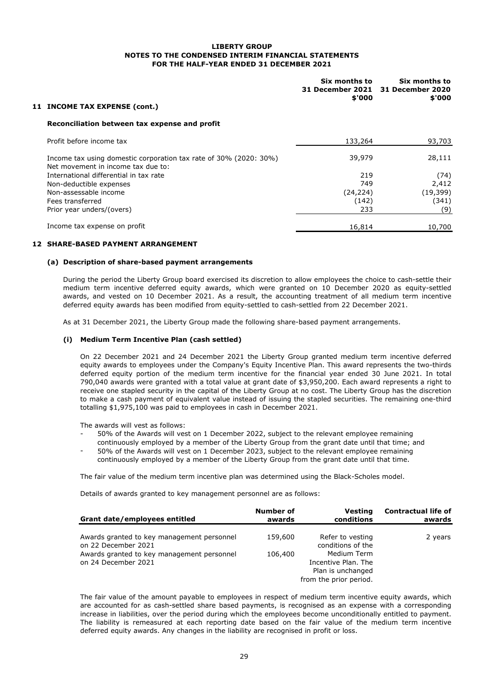| 11 INCOME TAX EXPENSE (cont.)                                                                           | Six months to<br><b>31 December 2021</b><br>\$'000 | Six months to<br><b>31 December 2020</b><br>\$'000 |
|---------------------------------------------------------------------------------------------------------|----------------------------------------------------|----------------------------------------------------|
| Reconciliation between tax expense and profit                                                           |                                                    |                                                    |
| Profit before income tax                                                                                | 133,264                                            | 93,703                                             |
| Income tax using domestic corporation tax rate of 30% (2020: 30%)<br>Net movement in income tax due to: | 39,979                                             | 28,111                                             |
| International differential in tax rate                                                                  | 219                                                | (74)                                               |
| Non-deductible expenses                                                                                 | 749                                                | 2,412                                              |
| Non-assessable income                                                                                   | (24, 224)                                          | (19, 399)                                          |
| Fees transferred                                                                                        | (142)                                              | (341)                                              |
| Prior year unders/(overs)                                                                               | 233                                                | (9)                                                |
| Income tax expense on profit                                                                            | 16,814                                             | 10,700                                             |
|                                                                                                         |                                                    |                                                    |

#### **12 SHARE-BASED PAYMENT ARRANGEMENT**

#### **(a) Description of share-based payment arrangements**

During the period the Liberty Group board exercised its discretion to allow employees the choice to cash-settle their medium term incentive deferred equity awards, which were granted on 10 December 2020 as equity-settled awards, and vested on 10 December 2021. As a result, the accounting treatment of all medium term incentive deferred equity awards has been modified from equity-settled to cash-settled from 22 December 2021.

As at 31 December 2021, the Liberty Group made the following share-based payment arrangements.

#### **(i) Medium Term Incentive Plan (cash settled)**

On 22 December 2021 and 24 December 2021 the Liberty Group granted medium term incentive deferred equity awards to employees under the Company's Equity Incentive Plan. This award represents the two-thirds deferred equity portion of the medium term incentive for the financial year ended 30 June 2021. In total 790,040 awards were granted with a total value at grant date of \$3,950,200. Each award represents a right to receive one stapled security in the capital of the Liberty Group at no cost. The Liberty Group has the discretion to make a cash payment of equivalent value instead of issuing the stapled securities. The remaining one-third totalling \$1,975,100 was paid to employees in cash in December 2021.

The awards will vest as follows:

- 50% of the Awards will vest on 1 December 2022, subject to the relevant employee remaining continuously employed by a member of the Liberty Group from the grant date until that time; and
- 50% of the Awards will vest on 1 December 2023, subject to the relevant employee remaining continuously employed by a member of the Liberty Group from the grant date until that time.

The fair value of the medium term incentive plan was determined using the Black-Scholes model.

Details of awards granted to key management personnel are as follows:

| Grant date/employees entitled                                     | Number of<br>awards | Vesting<br>conditions                 | <b>Contractual life of</b><br>awards |
|-------------------------------------------------------------------|---------------------|---------------------------------------|--------------------------------------|
| Awards granted to key management personnel<br>on 22 December 2021 | 159,600             | Refer to vesting<br>conditions of the | 2 years                              |
| Awards granted to key management personnel<br>on 24 December 2021 | 106,400             | Medium Term<br>Incentive Plan. The    |                                      |
|                                                                   |                     | Plan is unchanged                     |                                      |
|                                                                   |                     | from the prior period.                |                                      |

The fair value of the amount payable to employees in respect of medium term incentive equity awards, which are accounted for as cash-settled share based payments, is recognised as an expense with a corresponding increase in liabilities, over the period during which the employees become unconditionally entitled to payment. The liability is remeasured at each reporting date based on the fair value of the medium term incentive deferred equity awards. Any changes in the liability are recognised in profit or loss.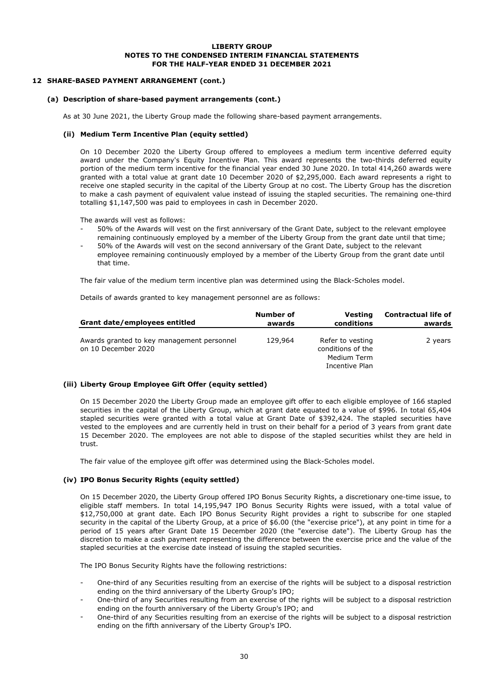#### **12 SHARE-BASED PAYMENT ARRANGEMENT (cont.)**

#### **(a) Description of share-based payment arrangements (cont.)**

As at 30 June 2021, the Liberty Group made the following share-based payment arrangements.

#### **(ii) Medium Term Incentive Plan (equity settled)**

On 10 December 2020 the Liberty Group offered to employees a medium term incentive deferred equity award under the Company's Equity Incentive Plan. This award represents the two-thirds deferred equity portion of the medium term incentive for the financial year ended 30 June 2020. In total 414,260 awards were granted with a total value at grant date 10 December 2020 of \$2,295,000. Each award represents a right to receive one stapled security in the capital of the Liberty Group at no cost. The Liberty Group has the discretion to make a cash payment of equivalent value instead of issuing the stapled securities. The remaining one-third totalling \$1,147,500 was paid to employees in cash in December 2020.

The awards will vest as follows:

- 50% of the Awards will vest on the first anniversary of the Grant Date, subject to the relevant employee remaining continuously employed by a member of the Liberty Group from the grant date until that time;
- 50% of the Awards will vest on the second anniversary of the Grant Date, subject to the relevant employee remaining continuously employed by a member of the Liberty Group from the grant date until that time.

The fair value of the medium term incentive plan was determined using the Black-Scholes model.

Details of awards granted to key management personnel are as follows:

| Grant date/employees entitled                                     | Number of | Vesting                                                                | <b>Contractual life of</b> |
|-------------------------------------------------------------------|-----------|------------------------------------------------------------------------|----------------------------|
|                                                                   | awards    | conditions                                                             | awards                     |
| Awards granted to key management personnel<br>on 10 December 2020 | 129,964   | Refer to vesting<br>conditions of the<br>Medium Term<br>Incentive Plan | 2 years                    |

#### **(iii) Liberty Group Employee Gift Offer (equity settled)**

On 15 December 2020 the Liberty Group made an employee gift offer to each eligible employee of 166 stapled securities in the capital of the Liberty Group, which at grant date equated to a value of \$996. In total 65,404 stapled securities were granted with a total value at Grant Date of \$392,424. The stapled securities have vested to the employees and are currently held in trust on their behalf for a period of 3 years from grant date 15 December 2020. The employees are not able to dispose of the stapled securities whilst they are held in trust.

The fair value of the employee gift offer was determined using the Black-Scholes model.

#### **(iv) IPO Bonus Security Rights (equity settled)**

On 15 December 2020, the Liberty Group offered IPO Bonus Security Rights, a discretionary one-time issue, to eligible staff members. In total 14,195,947 IPO Bonus Security Rights were issued, with a total value of \$12,750,000 at grant date. Each IPO Bonus Security Right provides a right to subscribe for one stapled security in the capital of the Liberty Group, at a price of \$6.00 (the "exercise price"), at any point in time for a period of 15 years after Grant Date 15 December 2020 (the "exercise date"). The Liberty Group has the discretion to make a cash payment representing the difference between the exercise price and the value of the stapled securities at the exercise date instead of issuing the stapled securities.

The IPO Bonus Security Rights have the following restrictions:

- One-third of any Securities resulting from an exercise of the rights will be subject to a disposal restriction ending on the third anniversary of the Liberty Group's IPO;
- One-third of any Securities resulting from an exercise of the rights will be subject to a disposal restriction ending on the fourth anniversary of the Liberty Group's IPO; and
- One-third of any Securities resulting from an exercise of the rights will be subject to a disposal restriction ending on the fifth anniversary of the Liberty Group's IPO.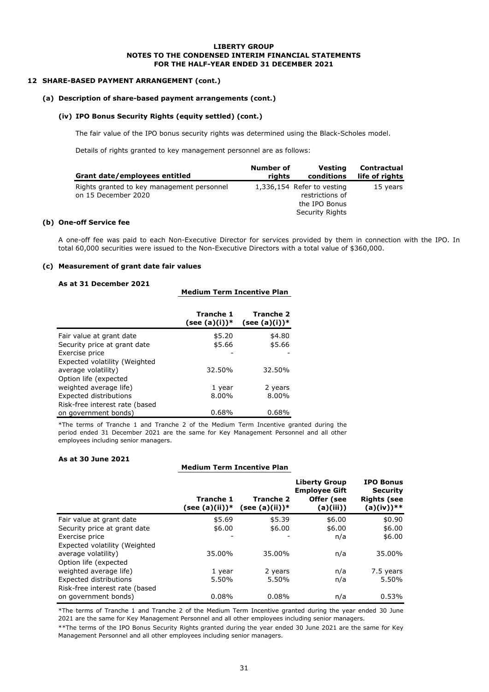#### **12 SHARE-BASED PAYMENT ARRANGEMENT (cont.)**

#### **(a) Description of share-based payment arrangements (cont.)**

#### **(iv) IPO Bonus Security Rights (equity settled) (cont.)**

The fair value of the IPO bonus security rights was determined using the Black-Scholes model.

Details of rights granted to key management personnel are as follows:

| Grant date/employees entitled                                     | Number of | Vesting                                                                           | <b>Contractual</b> |
|-------------------------------------------------------------------|-----------|-----------------------------------------------------------------------------------|--------------------|
|                                                                   | rights    | conditions                                                                        | life of rights     |
| Rights granted to key management personnel<br>on 15 December 2020 |           | 1,336,154 Refer to vesting<br>restrictions of<br>the IPO Bonus<br>Security Rights | 15 years           |

#### **(b) One-off Service fee**

A one-off fee was paid to each Non-Executive Director for services provided by them in connection with the IPO. In total 60,000 securities were issued to the Non-Executive Directors with a total value of \$360,000.

#### **(c) Measurement of grant date fair values**

#### **As at 31 December 2021**

|  |  | <b>Medium Term Incentive Plan</b> |  |
|--|--|-----------------------------------|--|
|--|--|-----------------------------------|--|

|                                | Tranche 1<br>$(see (a)(i))^*$ | <b>Tranche 2</b><br>$(see (a)(i))^*$ |
|--------------------------------|-------------------------------|--------------------------------------|
| Fair value at grant date       | \$5.20                        | \$4.80                               |
| Security price at grant date   | \$5.66                        | \$5.66                               |
| Exercise price                 |                               |                                      |
| Expected volatility (Weighted  |                               |                                      |
| average volatility)            | 32.50%                        | 32.50%                               |
| Option life (expected          |                               |                                      |
| weighted average life)         | 1 year                        | 2 years                              |
| Expected distributions         | 8.00%                         | 8.00%                                |
| Risk-free interest rate (based |                               |                                      |
| on government bonds)           | 0.68%                         | 0.68%                                |

\*The terms of Tranche 1 and Tranche 2 of the Medium Term Incentive granted during the period ended 31 December 2021 are the same for Key Management Personnel and all other employees including senior managers.

#### **As at 30 June 2021**

#### **Medium Term Incentive Plan**

|                                | Tranche 1<br>(see (a)(ii))* | Tranche 2<br>$(see (a)(ii))^*$ | <b>Liberty Group</b><br><b>Employee Gift</b><br>Offer (see<br>(a)(iii)) | <b>IPO Bonus</b><br><b>Security</b><br><b>Rights (see</b><br>(a)(iv))** |
|--------------------------------|-----------------------------|--------------------------------|-------------------------------------------------------------------------|-------------------------------------------------------------------------|
| Fair value at grant date       | \$5.69                      | \$5.39                         | \$6.00                                                                  | \$0.90                                                                  |
| Security price at grant date   | \$6.00                      | \$6.00                         | \$6.00                                                                  | \$6.00                                                                  |
| Exercise price                 |                             |                                | n/a                                                                     | \$6.00                                                                  |
| Expected volatility (Weighted  |                             |                                |                                                                         |                                                                         |
| average volatility)            | 35.00%                      | 35.00%                         | n/a                                                                     | 35.00%                                                                  |
| Option life (expected          |                             |                                |                                                                         |                                                                         |
| weighted average life)         | 1 year                      | 2 years                        | n/a                                                                     | 7.5 years                                                               |
| Expected distributions         | 5.50%                       | 5.50%                          | n/a                                                                     | 5.50%                                                                   |
| Risk-free interest rate (based |                             |                                |                                                                         |                                                                         |
| on government bonds)           | 0.08%                       | 0.08%                          | n/a                                                                     | 0.53%                                                                   |

\*The terms of Tranche 1 and Tranche 2 of the Medium Term Incentive granted during the year ended 30 June 2021 are the same for Key Management Personnel and all other employees including senior managers.

\*\*The terms of the IPO Bonus Security Rights granted during the year ended 30 June 2021 are the same for Key Management Personnel and all other employees including senior managers.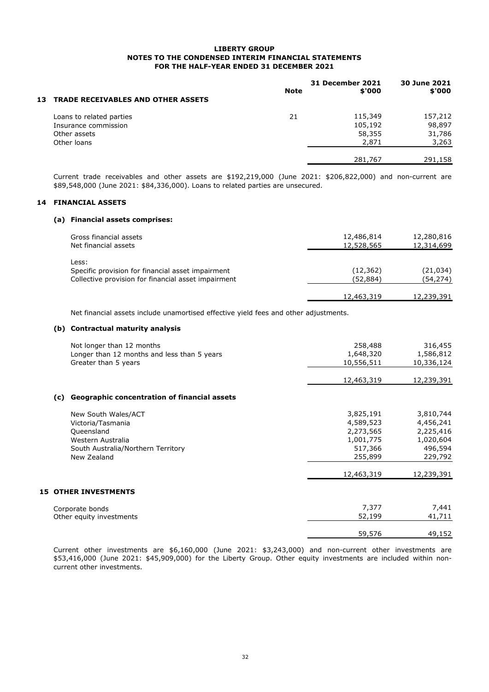|    |                                           | Note | <b>31 December 2021</b><br>\$'000 | 30 June 2021<br>\$'000 |
|----|-------------------------------------------|------|-----------------------------------|------------------------|
| 13 | <b>TRADE RECEIVABLES AND OTHER ASSETS</b> |      |                                   |                        |
|    | Loans to related parties                  | 21   | 115,349                           | 157,212                |
|    | Insurance commission                      |      | 105,192                           | 98,897                 |
|    | Other assets                              |      | 58,355                            | 31,786                 |
|    | Other loans                               |      | 2,871                             | 3,263                  |
|    |                                           |      | 281,767                           | 291,158                |

Current trade receivables and other assets are \$192,219,000 (June 2021: \$206,822,000) and non-current are \$89,548,000 (June 2021: \$84,336,000). Loans to related parties are unsecured.

#### **14 FINANCIAL ASSETS**

#### **(a) Financial assets comprises:**

| Gross financial assets<br>Net financial assets             | 12,486,814<br>12,528,565 | 12,280,816<br>12,314,699 |
|------------------------------------------------------------|--------------------------|--------------------------|
| Less:<br>Specific provision for financial asset impairment | (12, 362)                | (21, 034)                |
| Collective provision for financial asset impairment        | (52,884)<br>12,463,319   | (54, 274)<br>12,239,391  |

Net financial assets include unamortised effective yield fees and other adjustments.

#### **(b) Contractual maturity analysis**

|     | Not longer than 12 months                           | 258,488    | 316,455    |
|-----|-----------------------------------------------------|------------|------------|
|     | Longer than 12 months and less than 5 years         | 1,648,320  | 1,586,812  |
|     | Greater than 5 years                                | 10,556,511 | 10,336,124 |
|     |                                                     | 12,463,319 | 12,239,391 |
| (c) | <b>Geographic concentration of financial assets</b> |            |            |
|     | New South Wales/ACT                                 | 3,825,191  | 3,810,744  |
|     | Victoria/Tasmania                                   | 4,589,523  | 4,456,241  |
|     | Queensland                                          | 2,273,565  | 2,225,416  |
|     | Western Australia                                   | 1,001,775  | 1,020,604  |
|     | South Australia/Northern Territory                  | 517,366    | 496,594    |
|     | New Zealand                                         | 255,899    | 229,792    |
|     |                                                     | 12,463,319 | 12,239,391 |
|     | <b>15 OTHER INVESTMENTS</b>                         |            |            |
|     | Corporate bonds                                     | 7,377      | 7,441      |
|     | Other equity investments                            | 52,199     | 41,711     |
|     |                                                     | 59,576     | 49,152     |

Current other investments are \$6,160,000 (June 2021: \$3,243,000) and non-current other investments are \$53,416,000 (June 2021: \$45,909,000) for the Liberty Group. Other equity investments are included within noncurrent other investments.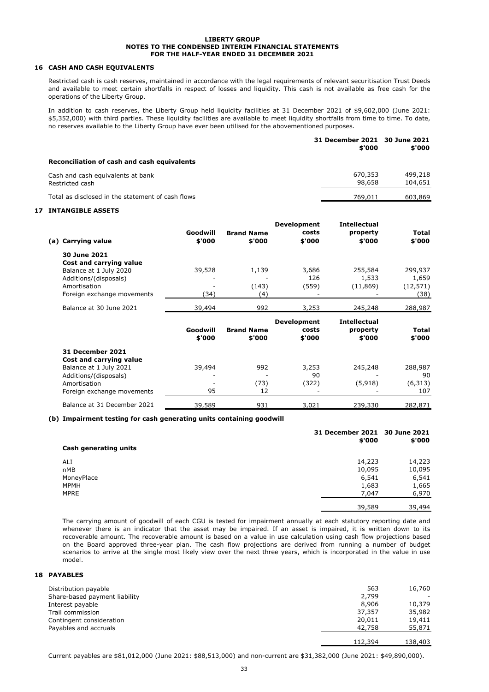#### **16 CASH AND CASH EQUIVALENTS**

Restricted cash is cash reserves, maintained in accordance with the legal requirements of relevant securitisation Trust Deeds and available to meet certain shortfalls in respect of losses and liquidity. This cash is not available as free cash for the operations of the Liberty Group.

In addition to cash reserves, the Liberty Group held liquidity facilities at 31 December 2021 of \$9,602,000 (June 2021: \$5,352,000) with third parties. These liquidity facilities are available to meet liquidity shortfalls from time to time. To date, no reserves available to the Liberty Group have ever been utilised for the abovementioned purposes.

|                                                      | 31 December 2021 30 June 2021<br>\$'000 | \$'000             |
|------------------------------------------------------|-----------------------------------------|--------------------|
| Reconciliation of cash and cash equivalents          |                                         |                    |
| Cash and cash equivalents at bank<br>Restricted cash | 670,353<br>98,658                       | 499,218<br>104,651 |
| Total as disclosed in the statement of cash flows    | 769,011                                 | 603,869            |

#### **17 INTANGIBLE ASSETS**

| (a) Carrying value         | Goodwill<br>\$'000 | <b>Brand Name</b><br>\$'000 | <b>Development</b><br>costs<br>\$'000 | <b>Intellectual</b><br>property<br>\$'000 | Total<br>\$'000 |
|----------------------------|--------------------|-----------------------------|---------------------------------------|-------------------------------------------|-----------------|
| 30 June 2021               |                    |                             |                                       |                                           |                 |
| Cost and carrying value    |                    |                             |                                       |                                           |                 |
| Balance at 1 July 2020     | 39,528             | 1,139                       | 3,686                                 | 255,584                                   | 299,937         |
| Additions/(disposals)      |                    |                             | 126                                   | 1,533                                     | 1,659           |
| Amortisation               |                    | (143)                       | (559)                                 | (11, 869)                                 | (12, 571)       |
| Foreign exchange movements | (34)               | (4)                         |                                       |                                           | (38)            |
| Balance at 30 June 2021    | 39,494             | 992                         | 3,253                                 | 245,248                                   | 288,987         |
|                            |                    |                             | <b>Development</b>                    | <b>Intellectual</b>                       |                 |
|                            |                    |                             |                                       |                                           |                 |
|                            | Goodwill           | <b>Brand Name</b>           | costs                                 | property                                  | Total           |
|                            | \$'000             | \$'000                      | \$'000                                | \$'000                                    | \$'000          |
| 31 December 2021           |                    |                             |                                       |                                           |                 |
| Cost and carrying value    |                    |                             |                                       |                                           |                 |
| Balance at 1 July 2021     | 39,494             | 992                         | 3,253                                 | 245,248                                   | 288,987         |
| Additions/(disposals)      |                    |                             | 90                                    |                                           | 90              |
| Amortisation               |                    | (73)                        | (322)                                 | (5,918)                                   | (6, 313)        |
| Foreign exchange movements | 95                 | 12                          |                                       |                                           | 107             |

#### **(b) Impairment testing for cash generating units containing goodwill**

| Cash generating units | 31 December 2021 30 June 2021<br>\$'000 | \$'000 |
|-----------------------|-----------------------------------------|--------|
| ALI                   | 14,223                                  | 14,223 |
| nMB                   | 10,095                                  | 10,095 |
| MoneyPlace            | 6,541                                   | 6,541  |
| <b>MPMH</b>           | 1,683                                   | 1,665  |
| <b>MPRE</b>           | 7,047                                   | 6,970  |
|                       | 39,589                                  | 39,494 |

The carrying amount of goodwill of each CGU is tested for impairment annually at each statutory reporting date and whenever there is an indicator that the asset may be impaired. If an asset is impaired, it is written down to its recoverable amount. The recoverable amount is based on a value in use calculation using cash flow projections based on the Board approved three-year plan. The cash flow projections are derived from running a number of budget scenarios to arrive at the single most likely view over the next three years, which is incorporated in the value in use model.

#### **18 PAYABLES**

| Distribution payable          | 563     | 16,760  |
|-------------------------------|---------|---------|
| Share-based payment liability | 2,799   |         |
| Interest payable              | 8,906   | 10,379  |
| Trail commission              | 37,357  | 35,982  |
| Contingent consideration      | 20,011  | 19,411  |
| Payables and accruals         | 42,758  | 55,871  |
|                               | 112,394 | 138,403 |

Current payables are \$81,012,000 (June 2021: \$88,513,000) and non-current are \$31,382,000 (June 2021: \$49,890,000).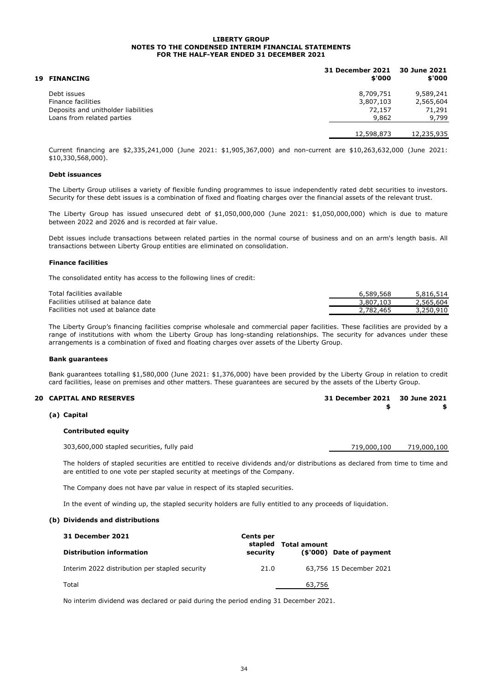| <b>19 FINANCING</b>                 | 31 December 2021 30 June 2021<br>\$'000 | \$'000     |
|-------------------------------------|-----------------------------------------|------------|
| Debt issues                         | 8,709,751                               | 9,589,241  |
| Finance facilities                  | 3,807,103                               | 2,565,604  |
| Deposits and unitholder liabilities | 72,157                                  | 71,291     |
| Loans from related parties          | 9,862                                   | 9,799      |
|                                     | 12,598,873                              | 12,235,935 |

Current financing are \$2,335,241,000 (June 2021: \$1,905,367,000) and non-current are \$10,263,632,000 (June 2021: \$10,330,568,000).

#### **Debt issuances**

The Liberty Group utilises a variety of flexible funding programmes to issue independently rated debt securities to investors. Security for these debt issues is a combination of fixed and floating charges over the financial assets of the relevant trust.

The Liberty Group has issued unsecured debt of \$1,050,000,000 (June 2021: \$1,050,000,000) which is due to mature between 2022 and 2026 and is recorded at fair value.

Debt issues include transactions between related parties in the normal course of business and on an arm's length basis. All transactions between Liberty Group entities are eliminated on consolidation.

#### **Finance facilities**

The consolidated entity has access to the following lines of credit:

| Total facilities available          | 6.589.568 | 5,816,514 |
|-------------------------------------|-----------|-----------|
| Facilities utilised at balance date | 3,807,103 | 2,565,604 |
| Facilities not used at balance date | 2,782,465 | 3,250,910 |

The Liberty Group's financing facilities comprise wholesale and commercial paper facilities. These facilities are provided by a range of institutions with whom the Liberty Group has long-standing relationships. The security for advances under these arrangements is a combination of fixed and floating charges over assets of the Liberty Group.

#### **Bank guarantees**

Bank guarantees totalling \$1,580,000 (June 2021: \$1,376,000) have been provided by the Liberty Group in relation to credit card facilities, lease on premises and other matters. These guarantees are secured by the assets of the Liberty Group.

#### **20 CAPITAL AND RESERVES 31 December 2021 30 June 2021**

| (a) Capital |  |
|-------------|--|

#### **Contributed equity**

303,600,000 stapled securities, fully paid 719,000,100 719,000,100

The holders of stapled securities are entitled to receive dividends and/or distributions as declared from time to time and are entitled to one vote per stapled security at meetings of the Company.

The Company does not have par value in respect of its stapled securities.

In the event of winding up, the stapled security holders are fully entitled to any proceeds of liquidation.

#### **(b) Dividends and distributions**

| <b>31 December 2021</b><br><b>Distribution information</b> | Cents per<br>security | stapled Total amount | (\$'000) Date of payment |
|------------------------------------------------------------|-----------------------|----------------------|--------------------------|
| Interim 2022 distribution per stapled security             | 21.0                  |                      | 63,756 15 December 2021  |
| Total                                                      |                       | 63,756               |                          |

No interim dividend was declared or paid during the period ending 31 December 2021.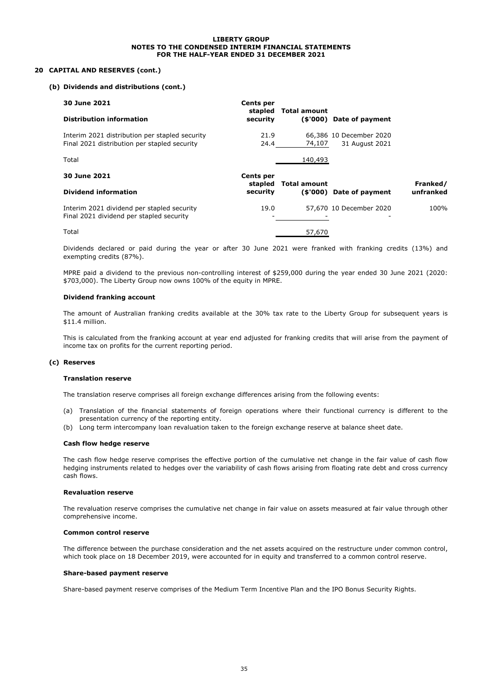#### **20 CAPITAL AND RESERVES (cont.)**

#### **(b) Dividends and distributions (cont.)**

| 30 June 2021                                                                                   | <b>Cents per</b><br>stapled | <b>Total amount</b> |                                           |                       |
|------------------------------------------------------------------------------------------------|-----------------------------|---------------------|-------------------------------------------|-----------------------|
| <b>Distribution information</b>                                                                | security                    |                     | (\$'000) Date of payment                  |                       |
| Interim 2021 distribution per stapled security<br>Final 2021 distribution per stapled security | 21.9<br>24.4                | 74,107              | 66.386 10 December 2020<br>31 August 2021 |                       |
| Total                                                                                          |                             | 140,493             |                                           |                       |
| 30 June 2021                                                                                   | <b>Cents per</b>            |                     |                                           |                       |
|                                                                                                |                             |                     |                                           |                       |
| <b>Dividend information</b>                                                                    | stapled<br>security         | <b>Total amount</b> | (\$'000) Date of payment                  | Franked/<br>unfranked |
| Interim 2021 dividend per stapled security<br>Final 2021 dividend per stapled security         | 19.0                        |                     | 57,670 10 December 2020                   | 100%                  |

Dividends declared or paid during the year or after 30 June 2021 were franked with franking credits (13%) and exempting credits (87%).

MPRE paid a dividend to the previous non-controlling interest of \$259,000 during the year ended 30 June 2021 (2020: \$703,000). The Liberty Group now owns 100% of the equity in MPRE.

#### **Dividend franking account**

The amount of Australian franking credits available at the 30% tax rate to the Liberty Group for subsequent years is \$11.4 million.

This is calculated from the franking account at year end adjusted for franking credits that will arise from the payment of income tax on profits for the current reporting period.

#### **(c) Reserves**

#### **Translation reserve**

The translation reserve comprises all foreign exchange differences arising from the following events:

- (a) Translation of the financial statements of foreign operations where their functional currency is different to the presentation currency of the reporting entity.
- (b) Long term intercompany loan revaluation taken to the foreign exchange reserve at balance sheet date.

#### **Cash flow hedge reserve**

The cash flow hedge reserve comprises the effective portion of the cumulative net change in the fair value of cash flow hedging instruments related to hedges over the variability of cash flows arising from floating rate debt and cross currency cash flows.

#### **Revaluation reserve**

The revaluation reserve comprises the cumulative net change in fair value on assets measured at fair value through other comprehensive income.

#### **Common control reserve**

The difference between the purchase consideration and the net assets acquired on the restructure under common control, which took place on 18 December 2019, were accounted for in equity and transferred to a common control reserve.

#### **Share-based payment reserve**

Share-based payment reserve comprises of the Medium Term Incentive Plan and the IPO Bonus Security Rights.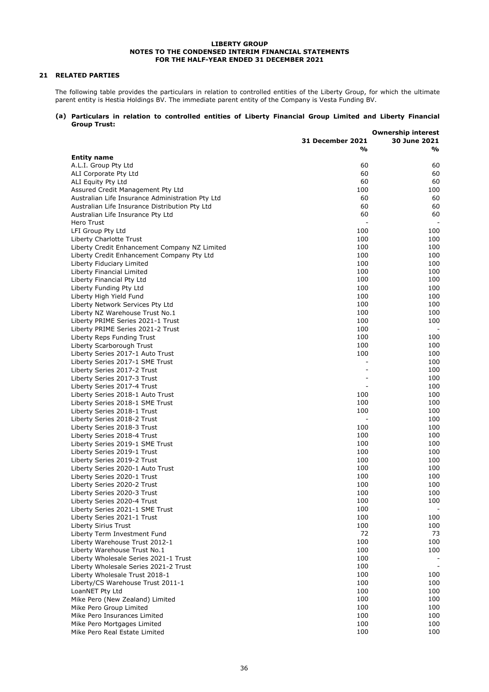#### **21 RELATED PARTIES**

The following table provides the particulars in relation to controlled entities of the Liberty Group, for which the ultimate parent entity is Hestia Holdings BV. The immediate parent entity of the Company is Vesta Funding BV.

#### **(a) Particulars in relation to controlled entities of Liberty Financial Group Limited and Liberty Financial Group Trust:**

|                                                                |                  | <b>Ownership interest</b> |
|----------------------------------------------------------------|------------------|---------------------------|
|                                                                | 31 December 2021 | <b>30 June 2021</b>       |
|                                                                | %                | %                         |
| <b>Entity name</b>                                             |                  |                           |
| A.L.I. Group Pty Ltd                                           | 60               | 60                        |
| ALI Corporate Pty Ltd                                          | 60               | 60                        |
| <b>ALI Equity Pty Ltd</b>                                      | 60               | 60                        |
| Assured Credit Management Pty Ltd                              | 100              | 100                       |
| Australian Life Insurance Administration Pty Ltd               | 60               | 60                        |
| Australian Life Insurance Distribution Pty Ltd                 | 60               | 60                        |
| Australian Life Insurance Pty Ltd                              | 60               | 60                        |
| Hero Trust                                                     |                  |                           |
| LFI Group Pty Ltd                                              | 100              | 100                       |
| Liberty Charlotte Trust                                        | 100              | 100                       |
| Liberty Credit Enhancement Company NZ Limited                  | 100              | 100                       |
| Liberty Credit Enhancement Company Pty Ltd                     | 100              | 100                       |
| Liberty Fiduciary Limited                                      | 100              | 100                       |
| Liberty Financial Limited                                      | 100              | 100                       |
| Liberty Financial Pty Ltd                                      | 100              | 100                       |
| Liberty Funding Pty Ltd                                        | 100              | 100                       |
| Liberty High Yield Fund                                        | 100              | 100                       |
| Liberty Network Services Pty Ltd                               | 100              | 100                       |
| Liberty NZ Warehouse Trust No.1                                | 100              | 100                       |
| Liberty PRIME Series 2021-1 Trust                              | 100              | 100                       |
| Liberty PRIME Series 2021-2 Trust                              | 100              | $\overline{\phantom{m}}$  |
| Liberty Reps Funding Trust                                     | 100              | 100                       |
| Liberty Scarborough Trust                                      | 100              | 100                       |
| Liberty Series 2017-1 Auto Trust                               | 100              | 100                       |
| Liberty Series 2017-1 SME Trust                                |                  | 100                       |
| Liberty Series 2017-2 Trust                                    |                  | 100                       |
| Liberty Series 2017-3 Trust                                    |                  | 100                       |
| Liberty Series 2017-4 Trust                                    |                  | 100                       |
| Liberty Series 2018-1 Auto Trust                               | 100              | 100                       |
| Liberty Series 2018-1 SME Trust                                | 100              | 100                       |
| Liberty Series 2018-1 Trust                                    | 100              | 100                       |
| Liberty Series 2018-2 Trust                                    |                  | 100                       |
| Liberty Series 2018-3 Trust                                    | 100              | 100                       |
| Liberty Series 2018-4 Trust                                    | 100              | 100                       |
| Liberty Series 2019-1 SME Trust                                | 100              | 100                       |
| Liberty Series 2019-1 Trust                                    | 100              | 100                       |
| Liberty Series 2019-2 Trust                                    | 100              | 100                       |
| Liberty Series 2020-1 Auto Trust                               | 100              | 100                       |
| Liberty Series 2020-1 Trust                                    | 100<br>100       | 100<br>100                |
| Liberty Series 2020-2 Trust                                    | 100              | 100                       |
| Liberty Series 2020-3 Trust                                    |                  |                           |
| Liberty Series 2020-4 Trust<br>Liberty Series 2021-1 SME Trust | 100<br>100       | 100                       |
| Liberty Series 2021-1 Trust                                    | 100              | 100                       |
| Liberty Sirius Trust                                           | 100              | 100                       |
| Liberty Term Investment Fund                                   | 72               | 73                        |
| Liberty Warehouse Trust 2012-1                                 | 100              | 100                       |
| Liberty Warehouse Trust No.1                                   | 100              | 100                       |
| Liberty Wholesale Series 2021-1 Trust                          | 100              |                           |
| Liberty Wholesale Series 2021-2 Trust                          | 100              | $\overline{\phantom{a}}$  |
| Liberty Wholesale Trust 2018-1                                 | 100              | 100                       |
| Liberty/CS Warehouse Trust 2011-1                              | 100              | 100                       |
| LoanNET Pty Ltd                                                | 100              | 100                       |
| Mike Pero (New Zealand) Limited                                | 100              | 100                       |
| Mike Pero Group Limited                                        | 100              | 100                       |
| Mike Pero Insurances Limited                                   | 100              | 100                       |
| Mike Pero Mortgages Limited                                    | 100              | 100                       |
| Mike Pero Real Estate Limited                                  | 100              | 100                       |
|                                                                |                  |                           |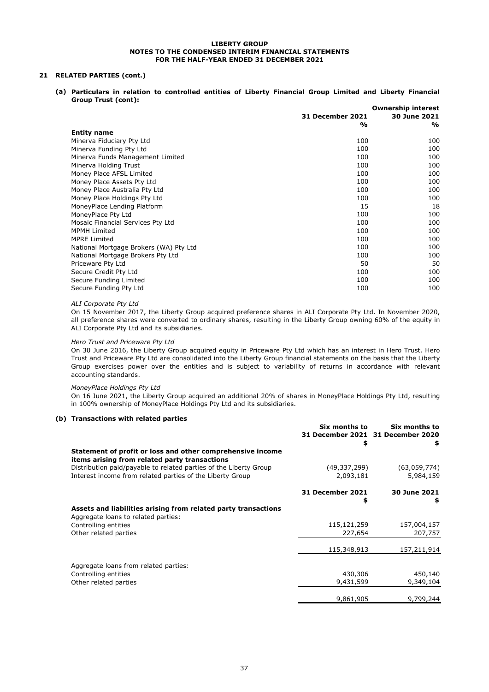#### **21 RELATED PARTIES (cont.)**

**(a) Particulars in relation to controlled entities of Liberty Financial Group Limited and Liberty Financial Group Trust (cont):**

|                                        | <b>Ownership interest</b> |              |
|----------------------------------------|---------------------------|--------------|
|                                        | <b>31 December 2021</b>   | 30 June 2021 |
|                                        | %                         | %            |
| <b>Entity name</b>                     |                           |              |
| Minerva Fiduciary Pty Ltd              | 100                       | 100          |
| Minerva Funding Pty Ltd                | 100                       | 100          |
| Minerva Funds Management Limited       | 100                       | 100          |
| Minerva Holding Trust                  | 100                       | 100          |
| Money Place AFSL Limited               | 100                       | 100          |
| Money Place Assets Pty Ltd             | 100                       | 100          |
| Money Place Australia Pty Ltd          | 100                       | 100          |
| Money Place Holdings Pty Ltd           | 100                       | 100          |
| MoneyPlace Lending Platform            | 15                        | 18           |
| MoneyPlace Pty Ltd                     | 100                       | 100          |
| Mosaic Financial Services Pty Ltd      | 100                       | 100          |
| <b>MPMH Limited</b>                    | 100                       | 100          |
| <b>MPRE Limited</b>                    | 100                       | 100          |
| National Mortgage Brokers (WA) Pty Ltd | 100                       | 100          |
| National Mortgage Brokers Pty Ltd      | 100                       | 100          |
| Priceware Pty Ltd                      | 50                        | 50           |
| Secure Credit Pty Ltd                  | 100                       | 100          |
| Secure Funding Limited                 | 100                       | 100          |
| Secure Funding Pty Ltd                 | 100                       | 100          |

#### *ALI Corporate Pty Ltd*

On 15 November 2017, the Liberty Group acquired preference shares in ALI Corporate Pty Ltd. In November 2020, all preference shares were converted to ordinary shares, resulting in the Liberty Group owning 60% of the equity in ALI Corporate Pty Ltd and its subsidiaries.

#### *Hero Trust and Priceware Pty Ltd*

On 30 June 2016, the Liberty Group acquired equity in Priceware Pty Ltd which has an interest in Hero Trust. Hero Trust and Priceware Pty Ltd are consolidated into the Liberty Group financial statements on the basis that the Liberty Group exercises power over the entities and is subject to variability of returns in accordance with relevant accounting standards.

#### *MoneyPlace Holdings Pty Ltd*

On 16 June 2021, the Liberty Group acquired an additional 20% of shares in MoneyPlace Holdings Pty Ltd, resulting in 100% ownership of MoneyPlace Holdings Pty Ltd and its subsidiaries.

#### **(b) Transactions with related parties**

|                                                                                                             | Six months to           | Six months to                     |
|-------------------------------------------------------------------------------------------------------------|-------------------------|-----------------------------------|
|                                                                                                             |                         | 31 December 2021 31 December 2020 |
|                                                                                                             | \$                      | \$                                |
| Statement of profit or loss and other comprehensive income<br>items arising from related party transactions |                         |                                   |
| Distribution paid/payable to related parties of the Liberty Group                                           | (49,337,299)            | (63,059,774)                      |
| Interest income from related parties of the Liberty Group                                                   | 2,093,181               | 5,984,159                         |
|                                                                                                             | <b>31 December 2021</b> | 30 June 2021                      |
|                                                                                                             | \$                      | \$                                |
| Assets and liabilities arising from related party transactions                                              |                         |                                   |
| Aggregate loans to related parties:                                                                         |                         |                                   |
| Controlling entities                                                                                        | 115,121,259             | 157,004,157                       |
| Other related parties                                                                                       | 227,654                 | 207,757                           |
|                                                                                                             | 115,348,913             | 157,211,914                       |
| Aggregate loans from related parties:                                                                       |                         |                                   |
| Controlling entities                                                                                        | 430,306                 | 450,140                           |
| Other related parties                                                                                       | 9,431,599               | 9,349,104                         |
|                                                                                                             | 9,861,905               | 9,799,244                         |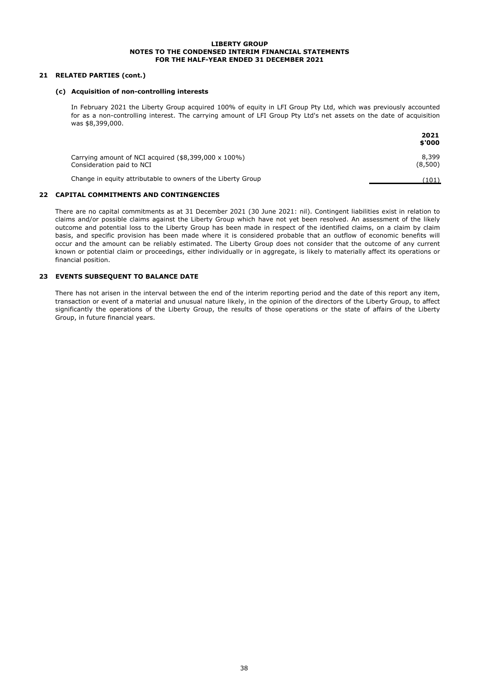#### **21 RELATED PARTIES (cont.)**

#### **(c) Acquisition of non-controlling interests**

In February 2021 the Liberty Group acquired 100% of equity in LFI Group Pty Ltd, which was previously accounted for as a non-controlling interest. The carrying amount of LFI Group Pty Ltd's net assets on the date of acquisition was \$8,399,000.

|                                                                                           | 2021<br>\$'000   |
|-------------------------------------------------------------------------------------------|------------------|
| Carrying amount of NCI acquired $(\$8,399,000 \times 100\%)$<br>Consideration paid to NCI | 8,399<br>(8,500) |
| Change in equity attributable to owners of the Liberty Group                              | (101)            |

#### **22 CAPITAL COMMITMENTS AND CONTINGENCIES**

There are no capital commitments as at 31 December 2021 (30 June 2021: nil). Contingent liabilities exist in relation to claims and/or possible claims against the Liberty Group which have not yet been resolved. An assessment of the likely outcome and potential loss to the Liberty Group has been made in respect of the identified claims, on a claim by claim basis, and specific provision has been made where it is considered probable that an outflow of economic benefits will occur and the amount can be reliably estimated. The Liberty Group does not consider that the outcome of any current known or potential claim or proceedings, either individually or in aggregate, is likely to materially affect its operations or financial position.

#### **23 EVENTS SUBSEQUENT TO BALANCE DATE**

There has not arisen in the interval between the end of the interim reporting period and the date of this report any item, transaction or event of a material and unusual nature likely, in the opinion of the directors of the Liberty Group, to affect significantly the operations of the Liberty Group, the results of those operations or the state of affairs of the Liberty Group, in future financial years.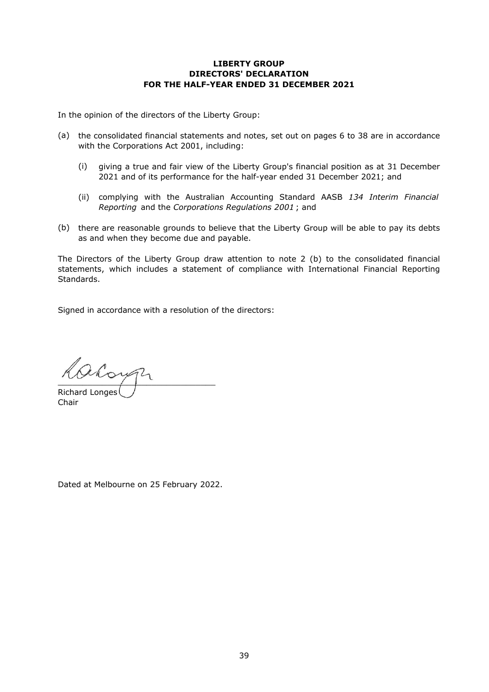#### **LIBERTY GROUP DIRECTORS' DECLARATION FOR THE HALF-YEAR ENDED 31 DECEMBER 2021**

In the opinion of the directors of the Liberty Group:

- (a) the consolidated financial statements and notes, set out on pages 6 to 38 are in accordance with the Corporations Act 2001, including:
	- (i) giving a true and fair view of the Liberty Group's financial position as at 31 December 2021 and of its performance for the half-year ended 31 December 2021; and
	- (ii) complying with the Australian Accounting Standard AASB *134 Interim Financial Reporting* and the *Corporations Regulations 2001* ; and
- (b) there are reasonable grounds to believe that the Liberty Group will be able to pay its debts as and when they become due and payable.

The Directors of the Liberty Group draw attention to note 2 (b) to the consolidated financial statements, which includes a statement of compliance with International Financial Reporting Standards.

Signed in accordance with a resolution of the directors:

aloun Richard Longes

Chair

Dated at Melbourne on 25 February 2022.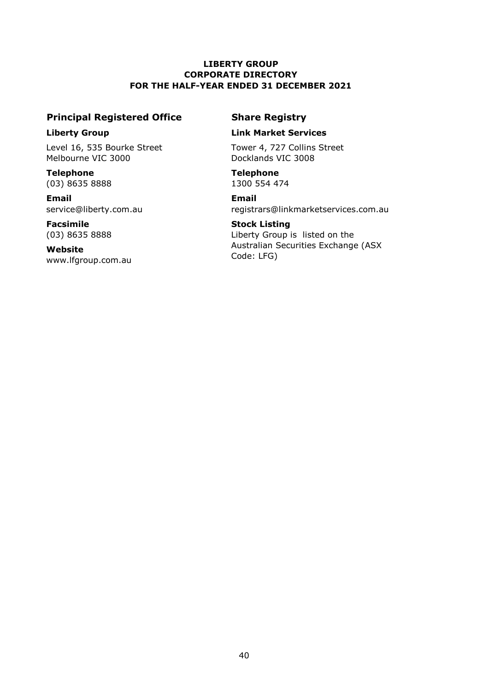#### **LIBERTY GROUP CORPORATE DIRECTORY FOR THE HALF-YEAR ENDED 31 DECEMBER 2021**

### **Principal Registered Office Share Registry**

Level 16, 535 Bourke Street Tower 4, 727 Collins Street Melbourne VIC 3000 Docklands VIC 3008

**Telephone Telephone** (03) 8635 8888 1300 554 474

**Email Email**

**Facsimile Stock Listing** (03) 8635 8888

**Website** [www.lfgroup.com.au](http://www.lfgroup.com.au/)

#### **Liberty Group Link Market Services**

[service@liberty.com.au](mailto:service@liberty.com.au) [registrars@linkmarketservices.com.au](mailto:registrars@linkmarketservices.com.au)

Liberty Group is listed on the Australian Securities Exchange (ASX Code: LFG)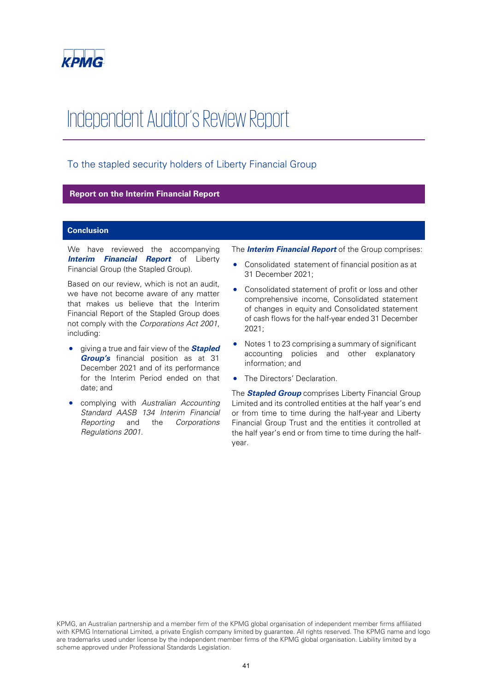

## Independent Auditor's Review Report

#### To the stapled security holders of Liberty Financial Group

#### **Report on the Interim Financial Report**

#### **Conclusion**

We have reviewed the accompanying **Interim Financial Report** of Liberty Financial Group (the Stapled Group).

Based on our review, which is not an audit, we have not become aware of any matter that makes us believe that the Interim Financial Report of the Stapled Group does not comply with the Corporations Act 2001, including:

- giving a true and fair view of the **Stapled Group's** financial position as at 31 December 2021 and of its performance for the Interim Period ended on that date; and
- complying with Australian Accounting Standard AASB 134 Interim Financial Reporting and the Corporations Regulations 2001.

The **Interim Financial Report** of the Group comprises:

- Consolidated statement of financial position as at 31 December 2021;
- Consolidated statement of profit or loss and other comprehensive income, Consolidated statement of changes in equity and Consolidated statement of cash flows for the half-year ended 31 December 2021;
- Notes 1 to 23 comprising a summary of significant accounting policies and other explanatory information; and
- The Directors' Declaration.

The **Stapled Group** comprises Liberty Financial Group Limited and its controlled entities at the half year's end or from time to time during the half-year and Liberty Financial Group Trust and the entities it controlled at the half year's end or from time to time during the halfyear.

KPMG, an Australian partnership and a member firm of the KPMG global organisation of independent member firms affiliated with KPMG International Limited, a private English company limited by guarantee. All rights reserved. The KPMG name and logo are trademarks used under license by the independent member firms of the KPMG global organisation. Liability limited by a scheme approved under Professional Standards Legislation.